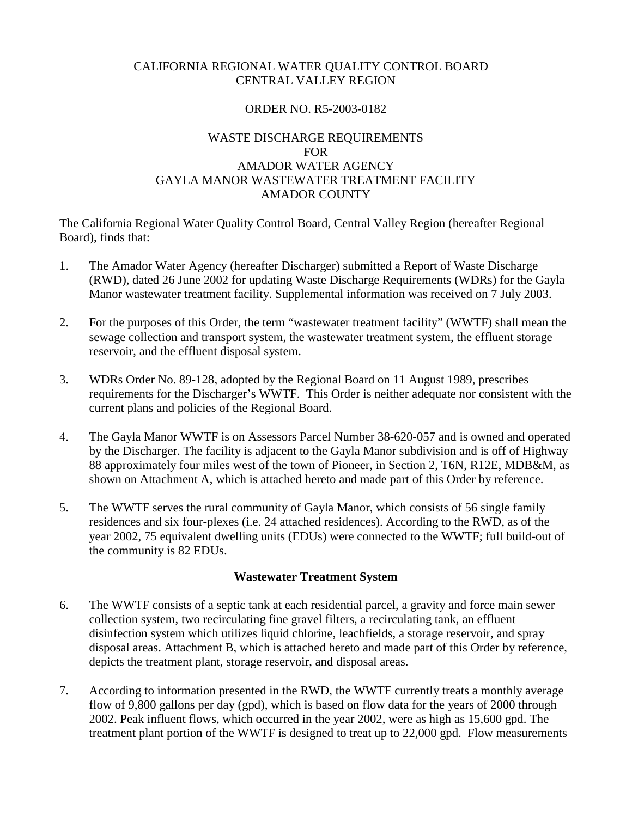## CALIFORNIA REGIONAL WATER QUALITY CONTROL BOARD CENTRAL VALLEY REGION

## ORDER NO. R5-2003-0182

## WASTE DISCHARGE REQUIREMENTS FOR AMADOR WATER AGENCY GAYLA MANOR WASTEWATER TREATMENT FACILITY AMADOR COUNTY

The California Regional Water Quality Control Board, Central Valley Region (hereafter Regional Board), finds that:

- 1. The Amador Water Agency (hereafter Discharger) submitted a Report of Waste Discharge (RWD), dated 26 June 2002 for updating Waste Discharge Requirements (WDRs) for the Gayla Manor wastewater treatment facility. Supplemental information was received on 7 July 2003.
- 2. For the purposes of this Order, the term "wastewater treatment facility" (WWTF) shall mean the sewage collection and transport system, the wastewater treatment system, the effluent storage reservoir, and the effluent disposal system.
- 3. WDRs Order No. 89-128, adopted by the Regional Board on 11 August 1989, prescribes requirements for the Discharger's WWTF. This Order is neither adequate nor consistent with the current plans and policies of the Regional Board.
- 4. The Gayla Manor WWTF is on Assessors Parcel Number 38-620-057 and is owned and operated by the Discharger. The facility is adjacent to the Gayla Manor subdivision and is off of Highway 88 approximately four miles west of the town of Pioneer, in Section 2, T6N, R12E, MDB&M, as shown on Attachment A, which is attached hereto and made part of this Order by reference.
- 5. The WWTF serves the rural community of Gayla Manor, which consists of 56 single family residences and six four-plexes (i.e. 24 attached residences). According to the RWD, as of the year 2002, 75 equivalent dwelling units (EDUs) were connected to the WWTF; full build-out of the community is 82 EDUs.

## **Wastewater Treatment System**

- 6. The WWTF consists of a septic tank at each residential parcel, a gravity and force main sewer collection system, two recirculating fine gravel filters, a recirculating tank, an effluent disinfection system which utilizes liquid chlorine, leachfields, a storage reservoir, and spray disposal areas. Attachment B, which is attached hereto and made part of this Order by reference, depicts the treatment plant, storage reservoir, and disposal areas.
- 7. According to information presented in the RWD, the WWTF currently treats a monthly average flow of 9,800 gallons per day (gpd), which is based on flow data for the years of 2000 through 2002. Peak influent flows, which occurred in the year 2002, were as high as 15,600 gpd. The treatment plant portion of the WWTF is designed to treat up to 22,000 gpd. Flow measurements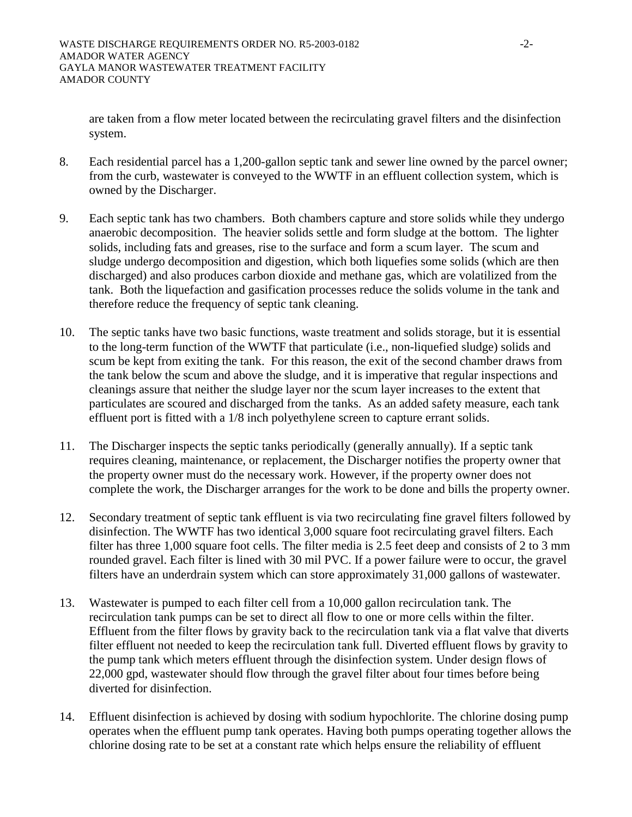are taken from a flow meter located between the recirculating gravel filters and the disinfection system.

- 8. Each residential parcel has a 1,200-gallon septic tank and sewer line owned by the parcel owner; from the curb, wastewater is conveyed to the WWTF in an effluent collection system, which is owned by the Discharger.
- 9. Each septic tank has two chambers. Both chambers capture and store solids while they undergo anaerobic decomposition. The heavier solids settle and form sludge at the bottom. The lighter solids, including fats and greases, rise to the surface and form a scum layer. The scum and sludge undergo decomposition and digestion, which both liquefies some solids (which are then discharged) and also produces carbon dioxide and methane gas, which are volatilized from the tank. Both the liquefaction and gasification processes reduce the solids volume in the tank and therefore reduce the frequency of septic tank cleaning.
- 10. The septic tanks have two basic functions, waste treatment and solids storage, but it is essential to the long-term function of the WWTF that particulate (i.e., non-liquefied sludge) solids and scum be kept from exiting the tank. For this reason, the exit of the second chamber draws from the tank below the scum and above the sludge, and it is imperative that regular inspections and cleanings assure that neither the sludge layer nor the scum layer increases to the extent that particulates are scoured and discharged from the tanks. As an added safety measure, each tank effluent port is fitted with a 1/8 inch polyethylene screen to capture errant solids.
- 11. The Discharger inspects the septic tanks periodically (generally annually). If a septic tank requires cleaning, maintenance, or replacement, the Discharger notifies the property owner that the property owner must do the necessary work. However, if the property owner does not complete the work, the Discharger arranges for the work to be done and bills the property owner.
- 12. Secondary treatment of septic tank effluent is via two recirculating fine gravel filters followed by disinfection. The WWTF has two identical 3,000 square foot recirculating gravel filters. Each filter has three 1,000 square foot cells. The filter media is 2.5 feet deep and consists of 2 to 3 mm rounded gravel. Each filter is lined with 30 mil PVC. If a power failure were to occur, the gravel filters have an underdrain system which can store approximately 31,000 gallons of wastewater.
- 13. Wastewater is pumped to each filter cell from a 10,000 gallon recirculation tank. The recirculation tank pumps can be set to direct all flow to one or more cells within the filter. Effluent from the filter flows by gravity back to the recirculation tank via a flat valve that diverts filter effluent not needed to keep the recirculation tank full. Diverted effluent flows by gravity to the pump tank which meters effluent through the disinfection system. Under design flows of 22,000 gpd, wastewater should flow through the gravel filter about four times before being diverted for disinfection.
- 14. Effluent disinfection is achieved by dosing with sodium hypochlorite. The chlorine dosing pump operates when the effluent pump tank operates. Having both pumps operating together allows the chlorine dosing rate to be set at a constant rate which helps ensure the reliability of effluent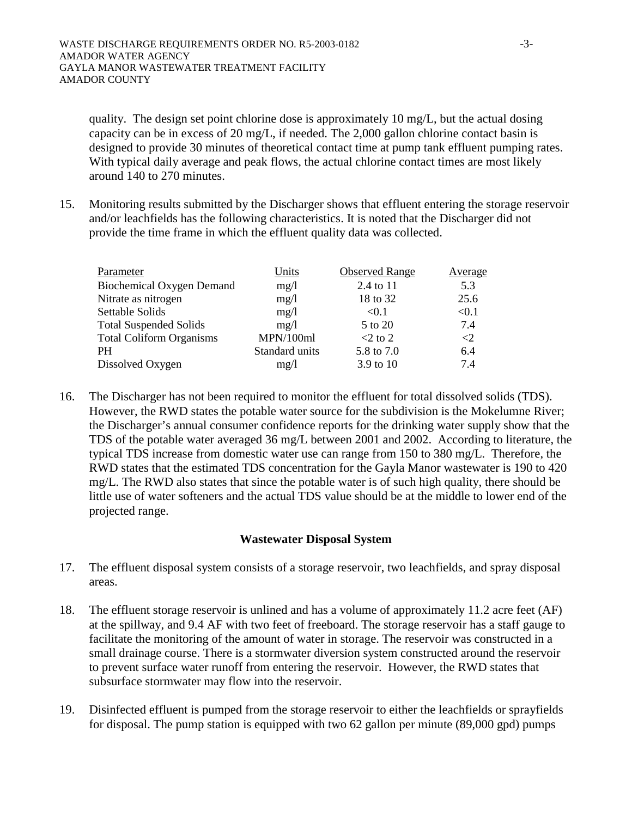quality. The design set point chlorine dose is approximately 10 mg/L, but the actual dosing capacity can be in excess of 20 mg/L, if needed. The 2,000 gallon chlorine contact basin is designed to provide 30 minutes of theoretical contact time at pump tank effluent pumping rates. With typical daily average and peak flows, the actual chlorine contact times are most likely around 140 to 270 minutes.

15. Monitoring results submitted by the Discharger shows that effluent entering the storage reservoir and/or leachfields has the following characteristics. It is noted that the Discharger did not provide the time frame in which the effluent quality data was collected.

| Parameter                        | Units          | <b>Observed Range</b> | Average             |
|----------------------------------|----------------|-----------------------|---------------------|
| <b>Biochemical Oxygen Demand</b> | mg/1           | 2.4 to 11             | 5.3                 |
| Nitrate as nitrogen              | mg/1           | 18 to 32              | 25.6                |
| Settable Solids                  | mg/1           | < 0.1                 | < 0.1               |
| <b>Total Suspended Solids</b>    | mg/1           | 5 to 20               | 7.4                 |
| <b>Total Coliform Organisms</b>  | MPN/100ml      | $<$ 2 to 2            | $\langle 2 \rangle$ |
| <b>PH</b>                        | Standard units | 5.8 to 7.0            | 6.4                 |
| Dissolved Oxygen                 | mg/1           | 3.9 to 10             | 7.4                 |

16. The Discharger has not been required to monitor the effluent for total dissolved solids (TDS). However, the RWD states the potable water source for the subdivision is the Mokelumne River; the Discharger's annual consumer confidence reports for the drinking water supply show that the TDS of the potable water averaged 36 mg/L between 2001 and 2002. According to literature, the typical TDS increase from domestic water use can range from 150 to 380 mg/L. Therefore, the RWD states that the estimated TDS concentration for the Gayla Manor wastewater is 190 to 420 mg/L. The RWD also states that since the potable water is of such high quality, there should be little use of water softeners and the actual TDS value should be at the middle to lower end of the projected range.

## **Wastewater Disposal System**

- 17. The effluent disposal system consists of a storage reservoir, two leachfields, and spray disposal areas.
- 18. The effluent storage reservoir is unlined and has a volume of approximately 11.2 acre feet (AF) at the spillway, and 9.4 AF with two feet of freeboard. The storage reservoir has a staff gauge to facilitate the monitoring of the amount of water in storage. The reservoir was constructed in a small drainage course. There is a stormwater diversion system constructed around the reservoir to prevent surface water runoff from entering the reservoir. However, the RWD states that subsurface stormwater may flow into the reservoir.
- 19. Disinfected effluent is pumped from the storage reservoir to either the leachfields or sprayfields for disposal. The pump station is equipped with two 62 gallon per minute (89,000 gpd) pumps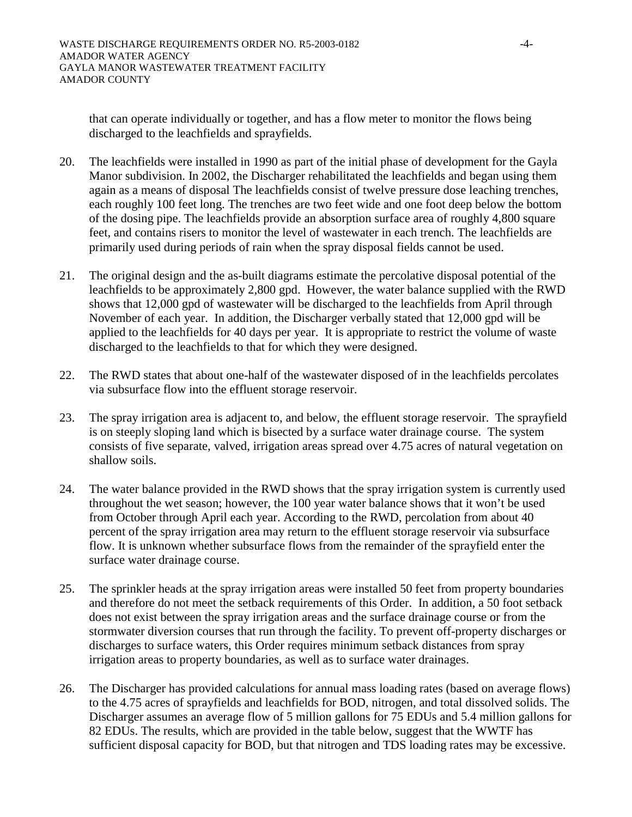that can operate individually or together, and has a flow meter to monitor the flows being discharged to the leachfields and sprayfields.

- 20. The leachfields were installed in 1990 as part of the initial phase of development for the Gayla Manor subdivision. In 2002, the Discharger rehabilitated the leachfields and began using them again as a means of disposal The leachfields consist of twelve pressure dose leaching trenches, each roughly 100 feet long. The trenches are two feet wide and one foot deep below the bottom of the dosing pipe. The leachfields provide an absorption surface area of roughly 4,800 square feet, and contains risers to monitor the level of wastewater in each trench. The leachfields are primarily used during periods of rain when the spray disposal fields cannot be used.
- 21. The original design and the as-built diagrams estimate the percolative disposal potential of the leachfields to be approximately 2,800 gpd. However, the water balance supplied with the RWD shows that 12,000 gpd of wastewater will be discharged to the leachfields from April through November of each year. In addition, the Discharger verbally stated that 12,000 gpd will be applied to the leachfields for 40 days per year. It is appropriate to restrict the volume of waste discharged to the leachfields to that for which they were designed.
- 22. The RWD states that about one-half of the wastewater disposed of in the leachfields percolates via subsurface flow into the effluent storage reservoir.
- 23. The spray irrigation area is adjacent to, and below, the effluent storage reservoir. The sprayfield is on steeply sloping land which is bisected by a surface water drainage course. The system consists of five separate, valved, irrigation areas spread over 4.75 acres of natural vegetation on shallow soils.
- 24. The water balance provided in the RWD shows that the spray irrigation system is currently used throughout the wet season; however, the 100 year water balance shows that it won't be used from October through April each year. According to the RWD, percolation from about 40 percent of the spray irrigation area may return to the effluent storage reservoir via subsurface flow. It is unknown whether subsurface flows from the remainder of the sprayfield enter the surface water drainage course.
- 25. The sprinkler heads at the spray irrigation areas were installed 50 feet from property boundaries and therefore do not meet the setback requirements of this Order. In addition, a 50 foot setback does not exist between the spray irrigation areas and the surface drainage course or from the stormwater diversion courses that run through the facility. To prevent off-property discharges or discharges to surface waters, this Order requires minimum setback distances from spray irrigation areas to property boundaries, as well as to surface water drainages.
- 26. The Discharger has provided calculations for annual mass loading rates (based on average flows) to the 4.75 acres of sprayfields and leachfields for BOD, nitrogen, and total dissolved solids. The Discharger assumes an average flow of 5 million gallons for 75 EDUs and 5.4 million gallons for 82 EDUs. The results, which are provided in the table below, suggest that the WWTF has sufficient disposal capacity for BOD, but that nitrogen and TDS loading rates may be excessive.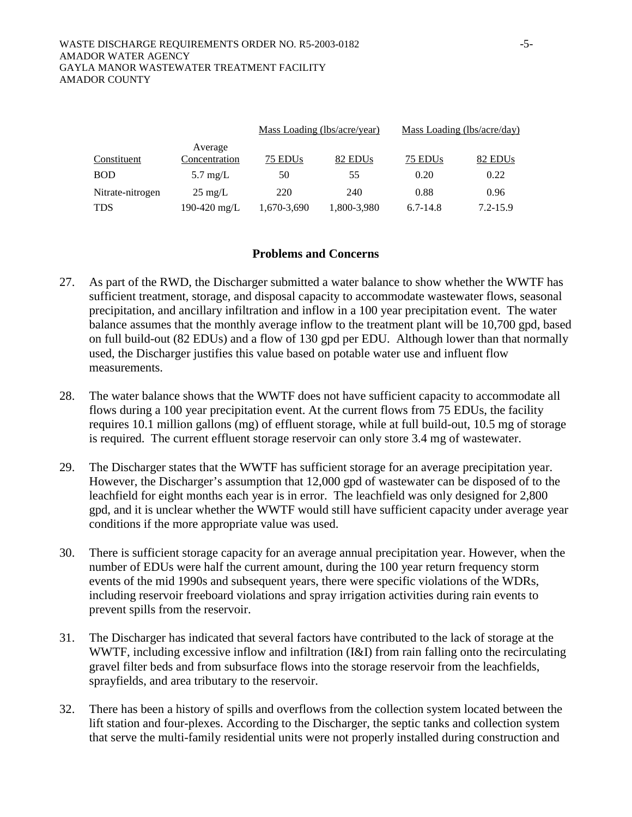|                  |                          |                     | Mass Loading (lbs/acre/year) |              | Mass Loading (lbs/acre/day) |
|------------------|--------------------------|---------------------|------------------------------|--------------|-----------------------------|
| Constituent      | Average<br>Concentration | 75 EDU <sub>s</sub> | 82 EDU <sub>s</sub>          | 75 EDUs      | 82 EDU <sub>s</sub>         |
| <b>BOD</b>       | $5.7 \text{ mg/L}$       | 50                  | 55                           | 0.20         | 0.22                        |
| Nitrate-nitrogen | $25 \text{ mg/L}$        | 220                 | 240                          | 0.88         | 0.96                        |
| TDS              | 190-420 mg/L             | 1,670-3,690         | 1,800-3,980                  | $6.7 - 14.8$ | $7.2 - 15.9$                |

#### **Problems and Concerns**

- 27. As part of the RWD, the Discharger submitted a water balance to show whether the WWTF has sufficient treatment, storage, and disposal capacity to accommodate wastewater flows, seasonal precipitation, and ancillary infiltration and inflow in a 100 year precipitation event. The water balance assumes that the monthly average inflow to the treatment plant will be 10,700 gpd, based on full build-out (82 EDUs) and a flow of 130 gpd per EDU. Although lower than that normally used, the Discharger justifies this value based on potable water use and influent flow measurements.
- 28. The water balance shows that the WWTF does not have sufficient capacity to accommodate all flows during a 100 year precipitation event. At the current flows from 75 EDUs, the facility requires 10.1 million gallons (mg) of effluent storage, while at full build-out, 10.5 mg of storage is required. The current effluent storage reservoir can only store 3.4 mg of wastewater.
- 29. The Discharger states that the WWTF has sufficient storage for an average precipitation year. However, the Discharger's assumption that 12,000 gpd of wastewater can be disposed of to the leachfield for eight months each year is in error. The leachfield was only designed for 2,800 gpd, and it is unclear whether the WWTF would still have sufficient capacity under average year conditions if the more appropriate value was used.
- 30. There is sufficient storage capacity for an average annual precipitation year. However, when the number of EDUs were half the current amount, during the 100 year return frequency storm events of the mid 1990s and subsequent years, there were specific violations of the WDRs, including reservoir freeboard violations and spray irrigation activities during rain events to prevent spills from the reservoir.
- 31. The Discharger has indicated that several factors have contributed to the lack of storage at the WWTF, including excessive inflow and infiltration (I&I) from rain falling onto the recirculating gravel filter beds and from subsurface flows into the storage reservoir from the leachfields, sprayfields, and area tributary to the reservoir.
- 32. There has been a history of spills and overflows from the collection system located between the lift station and four-plexes. According to the Discharger, the septic tanks and collection system that serve the multi-family residential units were not properly installed during construction and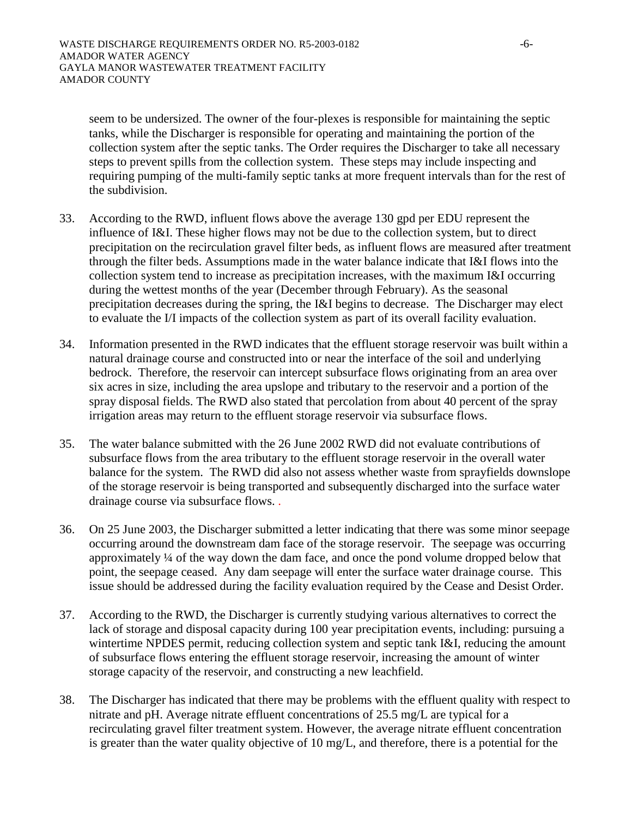seem to be undersized. The owner of the four-plexes is responsible for maintaining the septic tanks, while the Discharger is responsible for operating and maintaining the portion of the collection system after the septic tanks. The Order requires the Discharger to take all necessary steps to prevent spills from the collection system. These steps may include inspecting and requiring pumping of the multi-family septic tanks at more frequent intervals than for the rest of the subdivision.

- 33. According to the RWD, influent flows above the average 130 gpd per EDU represent the influence of I&I. These higher flows may not be due to the collection system, but to direct precipitation on the recirculation gravel filter beds, as influent flows are measured after treatment through the filter beds. Assumptions made in the water balance indicate that I&I flows into the collection system tend to increase as precipitation increases, with the maximum I&I occurring during the wettest months of the year (December through February). As the seasonal precipitation decreases during the spring, the I&I begins to decrease. The Discharger may elect to evaluate the I/I impacts of the collection system as part of its overall facility evaluation.
- 34. Information presented in the RWD indicates that the effluent storage reservoir was built within a natural drainage course and constructed into or near the interface of the soil and underlying bedrock. Therefore, the reservoir can intercept subsurface flows originating from an area over six acres in size, including the area upslope and tributary to the reservoir and a portion of the spray disposal fields. The RWD also stated that percolation from about 40 percent of the spray irrigation areas may return to the effluent storage reservoir via subsurface flows.
- 35. The water balance submitted with the 26 June 2002 RWD did not evaluate contributions of subsurface flows from the area tributary to the effluent storage reservoir in the overall water balance for the system. The RWD did also not assess whether waste from sprayfields downslope of the storage reservoir is being transported and subsequently discharged into the surface water drainage course via subsurface flows. .
- 36. On 25 June 2003, the Discharger submitted a letter indicating that there was some minor seepage occurring around the downstream dam face of the storage reservoir. The seepage was occurring approximately ¼ of the way down the dam face, and once the pond volume dropped below that point, the seepage ceased. Any dam seepage will enter the surface water drainage course. This issue should be addressed during the facility evaluation required by the Cease and Desist Order.
- 37. According to the RWD, the Discharger is currently studying various alternatives to correct the lack of storage and disposal capacity during 100 year precipitation events, including: pursuing a wintertime NPDES permit, reducing collection system and septic tank I&I, reducing the amount of subsurface flows entering the effluent storage reservoir, increasing the amount of winter storage capacity of the reservoir, and constructing a new leachfield.
- 38. The Discharger has indicated that there may be problems with the effluent quality with respect to nitrate and pH. Average nitrate effluent concentrations of 25.5 mg/L are typical for a recirculating gravel filter treatment system. However, the average nitrate effluent concentration is greater than the water quality objective of 10 mg/L, and therefore, there is a potential for the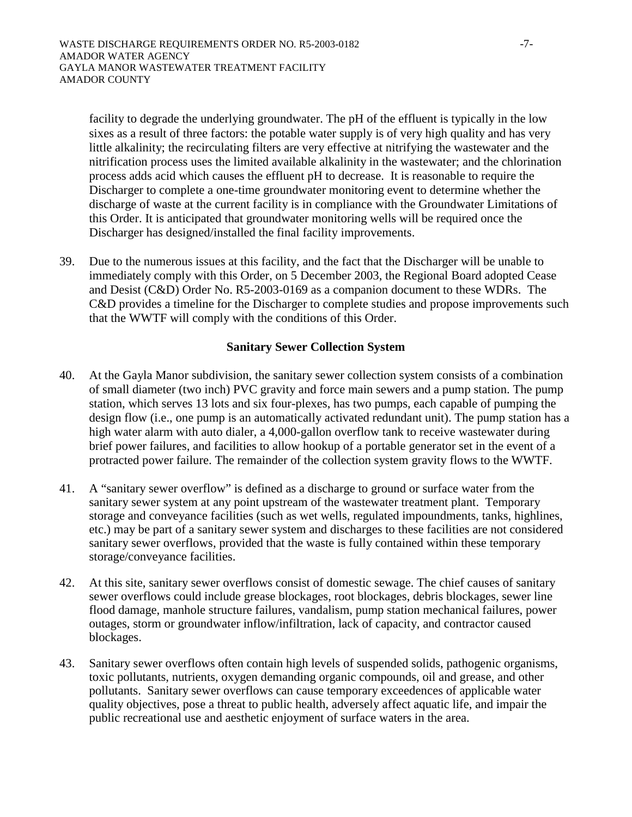facility to degrade the underlying groundwater. The pH of the effluent is typically in the low sixes as a result of three factors: the potable water supply is of very high quality and has very little alkalinity; the recirculating filters are very effective at nitrifying the wastewater and the nitrification process uses the limited available alkalinity in the wastewater; and the chlorination process adds acid which causes the effluent pH to decrease. It is reasonable to require the Discharger to complete a one-time groundwater monitoring event to determine whether the discharge of waste at the current facility is in compliance with the Groundwater Limitations of this Order. It is anticipated that groundwater monitoring wells will be required once the Discharger has designed/installed the final facility improvements.

39. Due to the numerous issues at this facility, and the fact that the Discharger will be unable to immediately comply with this Order, on 5 December 2003, the Regional Board adopted Cease and Desist (C&D) Order No. R5-2003-0169 as a companion document to these WDRs. The C&D provides a timeline for the Discharger to complete studies and propose improvements such that the WWTF will comply with the conditions of this Order.

## **Sanitary Sewer Collection System**

- 40. At the Gayla Manor subdivision, the sanitary sewer collection system consists of a combination of small diameter (two inch) PVC gravity and force main sewers and a pump station. The pump station, which serves 13 lots and six four-plexes, has two pumps, each capable of pumping the design flow (i.e., one pump is an automatically activated redundant unit). The pump station has a high water alarm with auto dialer, a 4,000-gallon overflow tank to receive wastewater during brief power failures, and facilities to allow hookup of a portable generator set in the event of a protracted power failure. The remainder of the collection system gravity flows to the WWTF.
- 41. A "sanitary sewer overflow" is defined as a discharge to ground or surface water from the sanitary sewer system at any point upstream of the wastewater treatment plant. Temporary storage and conveyance facilities (such as wet wells, regulated impoundments, tanks, highlines, etc.) may be part of a sanitary sewer system and discharges to these facilities are not considered sanitary sewer overflows, provided that the waste is fully contained within these temporary storage/conveyance facilities.
- 42. At this site, sanitary sewer overflows consist of domestic sewage. The chief causes of sanitary sewer overflows could include grease blockages, root blockages, debris blockages, sewer line flood damage, manhole structure failures, vandalism, pump station mechanical failures, power outages, storm or groundwater inflow/infiltration, lack of capacity, and contractor caused blockages.
- 43. Sanitary sewer overflows often contain high levels of suspended solids, pathogenic organisms, toxic pollutants, nutrients, oxygen demanding organic compounds, oil and grease, and other pollutants. Sanitary sewer overflows can cause temporary exceedences of applicable water quality objectives, pose a threat to public health, adversely affect aquatic life, and impair the public recreational use and aesthetic enjoyment of surface waters in the area.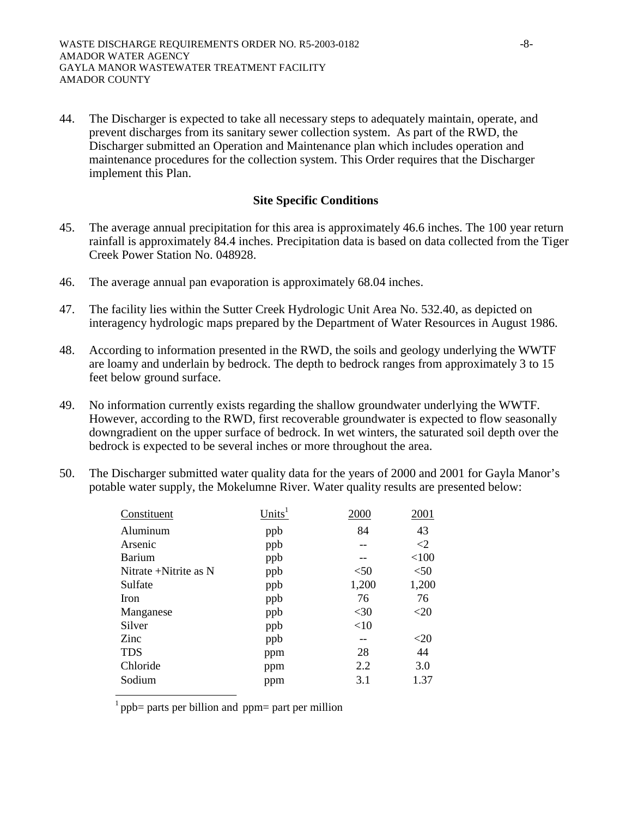44. The Discharger is expected to take all necessary steps to adequately maintain, operate, and prevent discharges from its sanitary sewer collection system. As part of the RWD, the Discharger submitted an Operation and Maintenance plan which includes operation and maintenance procedures for the collection system. This Order requires that the Discharger implement this Plan.

### **Site Specific Conditions**

- 45. The average annual precipitation for this area is approximately 46.6 inches. The 100 year return rainfall is approximately 84.4 inches. Precipitation data is based on data collected from the Tiger Creek Power Station No. 048928.
- 46. The average annual pan evaporation is approximately 68.04 inches.
- 47. The facility lies within the Sutter Creek Hydrologic Unit Area No. 532.40, as depicted on interagency hydrologic maps prepared by the Department of Water Resources in August 1986.
- 48. According to information presented in the RWD, the soils and geology underlying the WWTF are loamy and underlain by bedrock. The depth to bedrock ranges from approximately 3 to 15 feet below ground surface.
- 49. No information currently exists regarding the shallow groundwater underlying the WWTF. However, according to the RWD, first recoverable groundwater is expected to flow seasonally downgradient on the upper surface of bedrock. In wet winters, the saturated soil depth over the bedrock is expected to be several inches or more throughout the area.
- 50. The Discharger submitted water quality data for the years of 2000 and 2001 for Gayla Manor's potable water supply, the Mokelumne River. Water quality results are presented below:

| Constituent           | Units <sup>1</sup> | 2000   | 2001   |
|-----------------------|--------------------|--------|--------|
| Aluminum              | ppb                | 84     | 43     |
| Arsenic               | ppb                |        | $<$ 2  |
| <b>Barium</b>         | ppb                |        | < 100  |
| Nitrate +Nitrite as N | ppb                | $50$   | < 50   |
| Sulfate               | ppb                | 1,200  | 1,200  |
| Iron                  | ppb                | 76     | 76     |
| Manganese             | ppb                | $<$ 30 | $<$ 20 |
| Silver                | ppb                | <10    |        |
| Zinc                  | ppb                |        | $<$ 20 |
| <b>TDS</b>            | ppm                | 28     | 44     |
| Chloride              | ppm                | 2.2    | 3.0    |
| Sodium                | ppm                | 3.1    | 1.37   |

1 ppb= parts per billion and ppm= part per million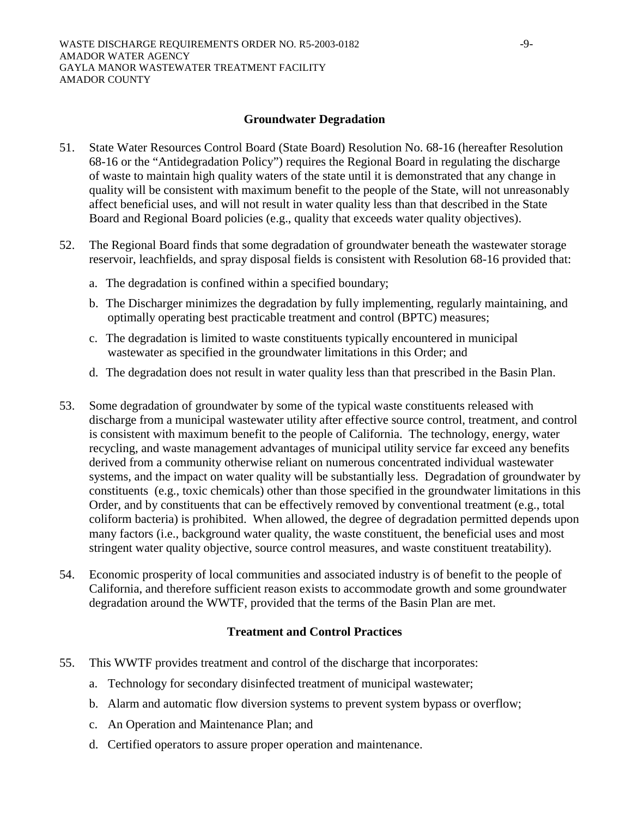## **Groundwater Degradation**

- 51. State Water Resources Control Board (State Board) Resolution No. 68-16 (hereafter Resolution 68-16 or the "Antidegradation Policy") requires the Regional Board in regulating the discharge of waste to maintain high quality waters of the state until it is demonstrated that any change in quality will be consistent with maximum benefit to the people of the State, will not unreasonably affect beneficial uses, and will not result in water quality less than that described in the State Board and Regional Board policies (e.g., quality that exceeds water quality objectives).
- 52. The Regional Board finds that some degradation of groundwater beneath the wastewater storage reservoir, leachfields, and spray disposal fields is consistent with Resolution 68-16 provided that:
	- a. The degradation is confined within a specified boundary;
	- b. The Discharger minimizes the degradation by fully implementing, regularly maintaining, and optimally operating best practicable treatment and control (BPTC) measures;
	- c. The degradation is limited to waste constituents typically encountered in municipal wastewater as specified in the groundwater limitations in this Order; and
	- d. The degradation does not result in water quality less than that prescribed in the Basin Plan.
- 53. Some degradation of groundwater by some of the typical waste constituents released with discharge from a municipal wastewater utility after effective source control, treatment, and control is consistent with maximum benefit to the people of California. The technology, energy, water recycling, and waste management advantages of municipal utility service far exceed any benefits derived from a community otherwise reliant on numerous concentrated individual wastewater systems, and the impact on water quality will be substantially less. Degradation of groundwater by constituents (e.g., toxic chemicals) other than those specified in the groundwater limitations in this Order, and by constituents that can be effectively removed by conventional treatment (e.g., total coliform bacteria) is prohibited. When allowed, the degree of degradation permitted depends upon many factors (i.e., background water quality, the waste constituent, the beneficial uses and most stringent water quality objective, source control measures, and waste constituent treatability).
- 54. Economic prosperity of local communities and associated industry is of benefit to the people of California, and therefore sufficient reason exists to accommodate growth and some groundwater degradation around the WWTF, provided that the terms of the Basin Plan are met.

# **Treatment and Control Practices**

- 55. This WWTF provides treatment and control of the discharge that incorporates:
	- a. Technology for secondary disinfected treatment of municipal wastewater;
	- b. Alarm and automatic flow diversion systems to prevent system bypass or overflow;
	- c. An Operation and Maintenance Plan; and
	- d. Certified operators to assure proper operation and maintenance.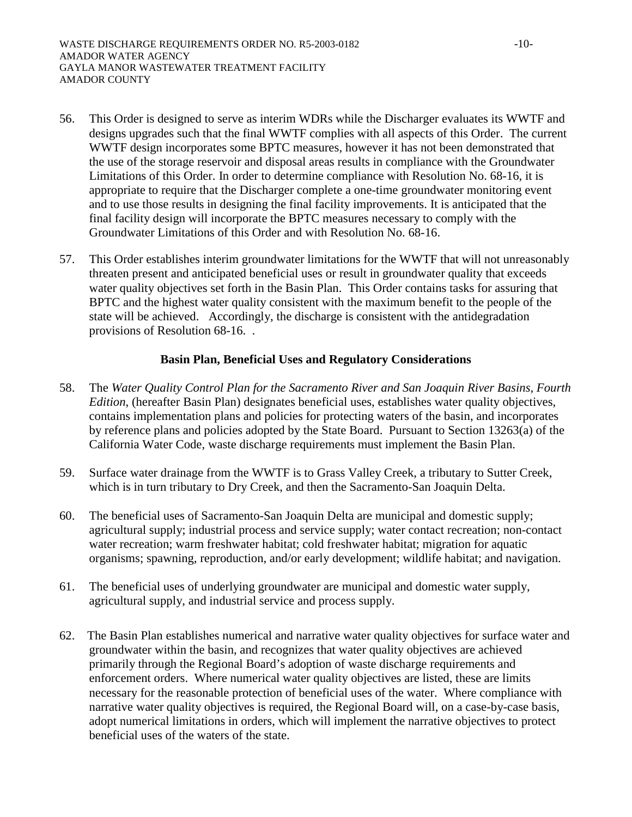- 56. This Order is designed to serve as interim WDRs while the Discharger evaluates its WWTF and designs upgrades such that the final WWTF complies with all aspects of this Order. The current WWTF design incorporates some BPTC measures, however it has not been demonstrated that the use of the storage reservoir and disposal areas results in compliance with the Groundwater Limitations of this Order. In order to determine compliance with Resolution No. 68-16, it is appropriate to require that the Discharger complete a one-time groundwater monitoring event and to use those results in designing the final facility improvements. It is anticipated that the final facility design will incorporate the BPTC measures necessary to comply with the Groundwater Limitations of this Order and with Resolution No. 68-16.
- 57. This Order establishes interim groundwater limitations for the WWTF that will not unreasonably threaten present and anticipated beneficial uses or result in groundwater quality that exceeds water quality objectives set forth in the Basin Plan. This Order contains tasks for assuring that BPTC and the highest water quality consistent with the maximum benefit to the people of the state will be achieved. Accordingly, the discharge is consistent with the antidegradation provisions of Resolution 68-16. .

## **Basin Plan, Beneficial Uses and Regulatory Considerations**

- 58. The *Water Quality Control Plan for the Sacramento River and San Joaquin River Basins, Fourth Edition*, (hereafter Basin Plan) designates beneficial uses, establishes water quality objectives, contains implementation plans and policies for protecting waters of the basin, and incorporates by reference plans and policies adopted by the State Board. Pursuant to Section 13263(a) of the California Water Code, waste discharge requirements must implement the Basin Plan.
- 59. Surface water drainage from the WWTF is to Grass Valley Creek, a tributary to Sutter Creek, which is in turn tributary to Dry Creek, and then the Sacramento-San Joaquin Delta.
- 60. The beneficial uses of Sacramento-San Joaquin Delta are municipal and domestic supply; agricultural supply; industrial process and service supply; water contact recreation; non-contact water recreation; warm freshwater habitat; cold freshwater habitat; migration for aquatic organisms; spawning, reproduction, and/or early development; wildlife habitat; and navigation.
- 61. The beneficial uses of underlying groundwater are municipal and domestic water supply, agricultural supply, and industrial service and process supply.
- 62. The Basin Plan establishes numerical and narrative water quality objectives for surface water and groundwater within the basin, and recognizes that water quality objectives are achieved primarily through the Regional Board's adoption of waste discharge requirements and enforcement orders. Where numerical water quality objectives are listed, these are limits necessary for the reasonable protection of beneficial uses of the water. Where compliance with narrative water quality objectives is required, the Regional Board will, on a case-by-case basis, adopt numerical limitations in orders, which will implement the narrative objectives to protect beneficial uses of the waters of the state.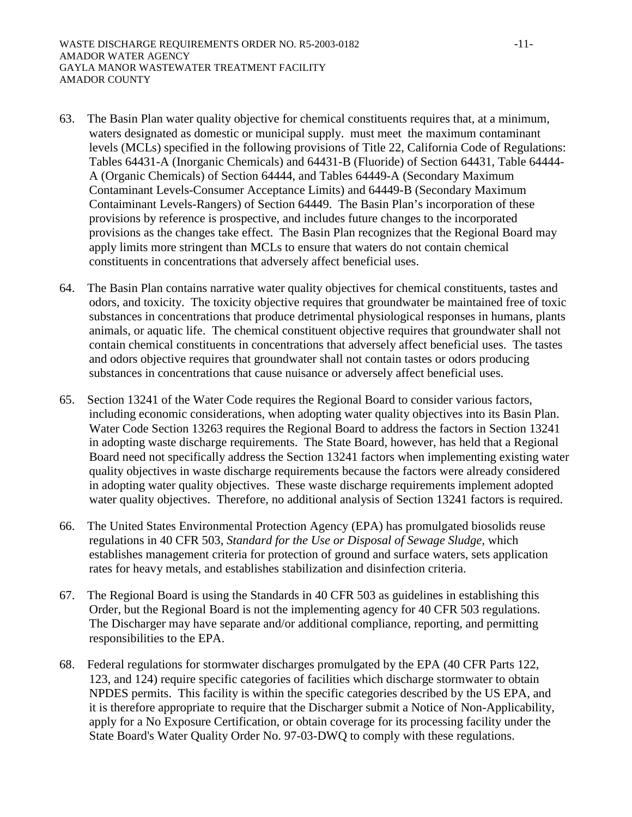- 63. The Basin Plan water quality objective for chemical constituents requires that, at a minimum, waters designated as domestic or municipal supply. must meet the maximum contaminant levels (MCLs) specified in the following provisions of Title 22, California Code of Regulations: Tables 64431-A (Inorganic Chemicals) and 64431-B (Fluoride) of Section 64431, Table 64444- A (Organic Chemicals) of Section 64444, and Tables 64449-A (Secondary Maximum Contaminant Levels-Consumer Acceptance Limits) and 64449-B (Secondary Maximum Contaiminant Levels-Rangers) of Section 64449. The Basin Plan's incorporation of these provisions by reference is prospective, and includes future changes to the incorporated provisions as the changes take effect. The Basin Plan recognizes that the Regional Board may apply limits more stringent than MCLs to ensure that waters do not contain chemical constituents in concentrations that adversely affect beneficial uses.
- 64. The Basin Plan contains narrative water quality objectives for chemical constituents, tastes and odors, and toxicity. The toxicity objective requires that groundwater be maintained free of toxic substances in concentrations that produce detrimental physiological responses in humans, plants animals, or aquatic life. The chemical constituent objective requires that groundwater shall not contain chemical constituents in concentrations that adversely affect beneficial uses. The tastes and odors objective requires that groundwater shall not contain tastes or odors producing substances in concentrations that cause nuisance or adversely affect beneficial uses.
- 65. Section 13241 of the Water Code requires the Regional Board to consider various factors, including economic considerations, when adopting water quality objectives into its Basin Plan. Water Code Section 13263 requires the Regional Board to address the factors in Section 13241 in adopting waste discharge requirements. The State Board, however, has held that a Regional Board need not specifically address the Section 13241 factors when implementing existing water quality objectives in waste discharge requirements because the factors were already considered in adopting water quality objectives. These waste discharge requirements implement adopted water quality objectives. Therefore, no additional analysis of Section 13241 factors is required.
- 66. The United States Environmental Protection Agency (EPA) has promulgated biosolids reuse regulations in 40 CFR 503, *Standard for the Use or Disposal of Sewage Sludge,* which establishes management criteria for protection of ground and surface waters, sets application rates for heavy metals, and establishes stabilization and disinfection criteria.
- 67. The Regional Board is using the Standards in 40 CFR 503 as guidelines in establishing this Order, but the Regional Board is not the implementing agency for 40 CFR 503 regulations. The Discharger may have separate and/or additional compliance, reporting, and permitting responsibilities to the EPA.
- 68. Federal regulations for stormwater discharges promulgated by the EPA (40 CFR Parts 122, 123, and 124) require specific categories of facilities which discharge stormwater to obtain NPDES permits. This facility is within the specific categories described by the US EPA, and it is therefore appropriate to require that the Discharger submit a Notice of Non-Applicability, apply for a No Exposure Certification, or obtain coverage for its processing facility under the State Board's Water Quality Order No. 97-03-DWQ to comply with these regulations.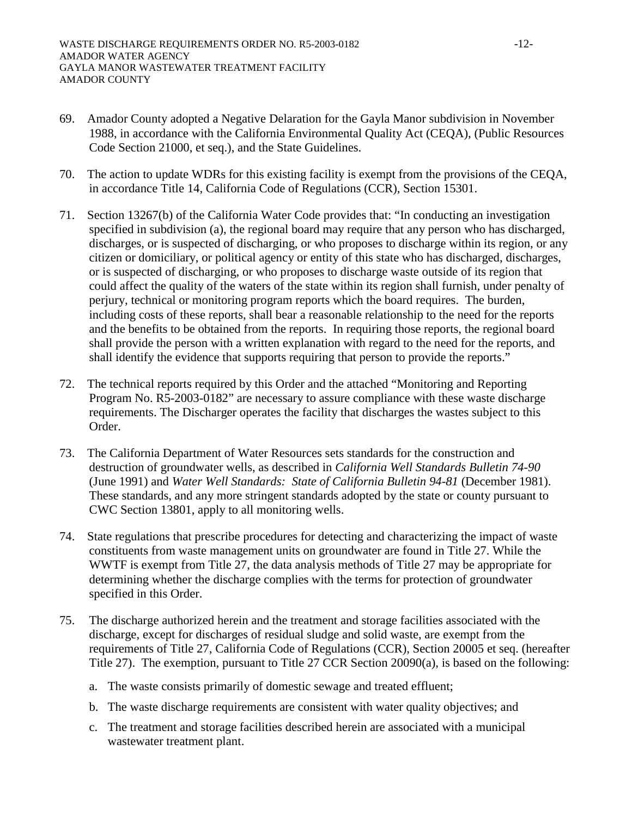- 69. Amador County adopted a Negative Delaration for the Gayla Manor subdivision in November 1988, in accordance with the California Environmental Quality Act (CEQA), (Public Resources Code Section 21000, et seq.), and the State Guidelines.
- 70. The action to update WDRs for this existing facility is exempt from the provisions of the CEQA, in accordance Title 14, California Code of Regulations (CCR), Section 15301.
- 71. Section 13267(b) of the California Water Code provides that: "In conducting an investigation specified in subdivision (a), the regional board may require that any person who has discharged, discharges, or is suspected of discharging, or who proposes to discharge within its region, or any citizen or domiciliary, or political agency or entity of this state who has discharged, discharges, or is suspected of discharging, or who proposes to discharge waste outside of its region that could affect the quality of the waters of the state within its region shall furnish, under penalty of perjury, technical or monitoring program reports which the board requires. The burden, including costs of these reports, shall bear a reasonable relationship to the need for the reports and the benefits to be obtained from the reports. In requiring those reports, the regional board shall provide the person with a written explanation with regard to the need for the reports, and shall identify the evidence that supports requiring that person to provide the reports."
- 72. The technical reports required by this Order and the attached "Monitoring and Reporting Program No. R5-2003-0182" are necessary to assure compliance with these waste discharge requirements. The Discharger operates the facility that discharges the wastes subject to this Order.
- 73. The California Department of Water Resources sets standards for the construction and destruction of groundwater wells, as described in *California Well Standards Bulletin 74-90* (June 1991) and *Water Well Standards: State of California Bulletin 94-81* (December 1981). These standards, and any more stringent standards adopted by the state or county pursuant to CWC Section 13801, apply to all monitoring wells.
- 74. State regulations that prescribe procedures for detecting and characterizing the impact of waste constituents from waste management units on groundwater are found in Title 27. While the WWTF is exempt from Title 27, the data analysis methods of Title 27 may be appropriate for determining whether the discharge complies with the terms for protection of groundwater specified in this Order.
- 75. The discharge authorized herein and the treatment and storage facilities associated with the discharge, except for discharges of residual sludge and solid waste, are exempt from the requirements of Title 27, California Code of Regulations (CCR), Section 20005 et seq. (hereafter Title 27). The exemption, pursuant to Title 27 CCR Section 20090(a), is based on the following:
	- a. The waste consists primarily of domestic sewage and treated effluent;
	- b. The waste discharge requirements are consistent with water quality objectives; and
	- c. The treatment and storage facilities described herein are associated with a municipal wastewater treatment plant.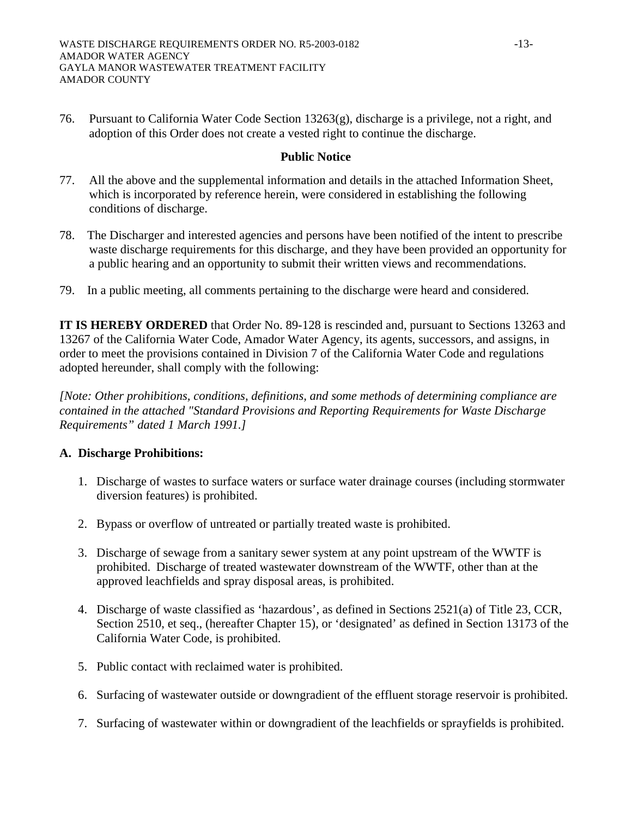76. Pursuant to California Water Code Section 13263(g), discharge is a privilege, not a right, and adoption of this Order does not create a vested right to continue the discharge.

## **Public Notice**

- 77. All the above and the supplemental information and details in the attached Information Sheet, which is incorporated by reference herein, were considered in establishing the following conditions of discharge.
- 78. The Discharger and interested agencies and persons have been notified of the intent to prescribe waste discharge requirements for this discharge, and they have been provided an opportunity for a public hearing and an opportunity to submit their written views and recommendations.
- 79. In a public meeting, all comments pertaining to the discharge were heard and considered.

**IT IS HEREBY ORDERED** that Order No. 89-128 is rescinded and, pursuant to Sections 13263 and 13267 of the California Water Code, Amador Water Agency, its agents, successors, and assigns, in order to meet the provisions contained in Division 7 of the California Water Code and regulations adopted hereunder, shall comply with the following:

*[Note: Other prohibitions, conditions, definitions, and some methods of determining compliance are contained in the attached "Standard Provisions and Reporting Requirements for Waste Discharge Requirements" dated 1 March 1991.]* 

## **A. Discharge Prohibitions:**

- 1. Discharge of wastes to surface waters or surface water drainage courses (including stormwater diversion features) is prohibited.
- 2. Bypass or overflow of untreated or partially treated waste is prohibited.
- 3. Discharge of sewage from a sanitary sewer system at any point upstream of the WWTF is prohibited. Discharge of treated wastewater downstream of the WWTF, other than at the approved leachfields and spray disposal areas, is prohibited.
- 4. Discharge of waste classified as 'hazardous', as defined in Sections 2521(a) of Title 23, CCR, Section 2510, et seq., (hereafter Chapter 15), or 'designated' as defined in Section 13173 of the California Water Code, is prohibited.
- 5. Public contact with reclaimed water is prohibited.
- 6. Surfacing of wastewater outside or downgradient of the effluent storage reservoir is prohibited.
- 7. Surfacing of wastewater within or downgradient of the leachfields or sprayfields is prohibited.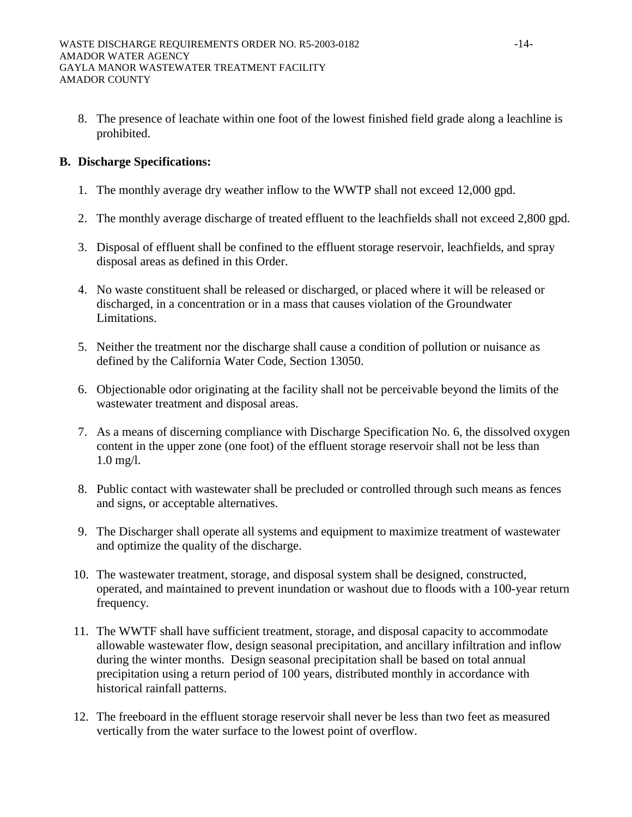8. The presence of leachate within one foot of the lowest finished field grade along a leachline is prohibited.

# **B. Discharge Specifications:**

- 1. The monthly average dry weather inflow to the WWTP shall not exceed 12,000 gpd.
- 2. The monthly average discharge of treated effluent to the leachfields shall not exceed 2,800 gpd.
- 3. Disposal of effluent shall be confined to the effluent storage reservoir, leachfields, and spray disposal areas as defined in this Order.
- 4. No waste constituent shall be released or discharged, or placed where it will be released or discharged, in a concentration or in a mass that causes violation of the Groundwater Limitations.
- 5. Neither the treatment nor the discharge shall cause a condition of pollution or nuisance as defined by the California Water Code, Section 13050.
- 6. Objectionable odor originating at the facility shall not be perceivable beyond the limits of the wastewater treatment and disposal areas.
- 7. As a means of discerning compliance with Discharge Specification No. 6, the dissolved oxygen content in the upper zone (one foot) of the effluent storage reservoir shall not be less than 1.0 mg/l.
- 8. Public contact with wastewater shall be precluded or controlled through such means as fences and signs, or acceptable alternatives.
- 9. The Discharger shall operate all systems and equipment to maximize treatment of wastewater and optimize the quality of the discharge.
- 10. The wastewater treatment, storage, and disposal system shall be designed, constructed, operated, and maintained to prevent inundation or washout due to floods with a 100-year return frequency.
- 11. The WWTF shall have sufficient treatment, storage, and disposal capacity to accommodate allowable wastewater flow, design seasonal precipitation, and ancillary infiltration and inflow during the winter months. Design seasonal precipitation shall be based on total annual precipitation using a return period of 100 years, distributed monthly in accordance with historical rainfall patterns.
- 12. The freeboard in the effluent storage reservoir shall never be less than two feet as measured vertically from the water surface to the lowest point of overflow.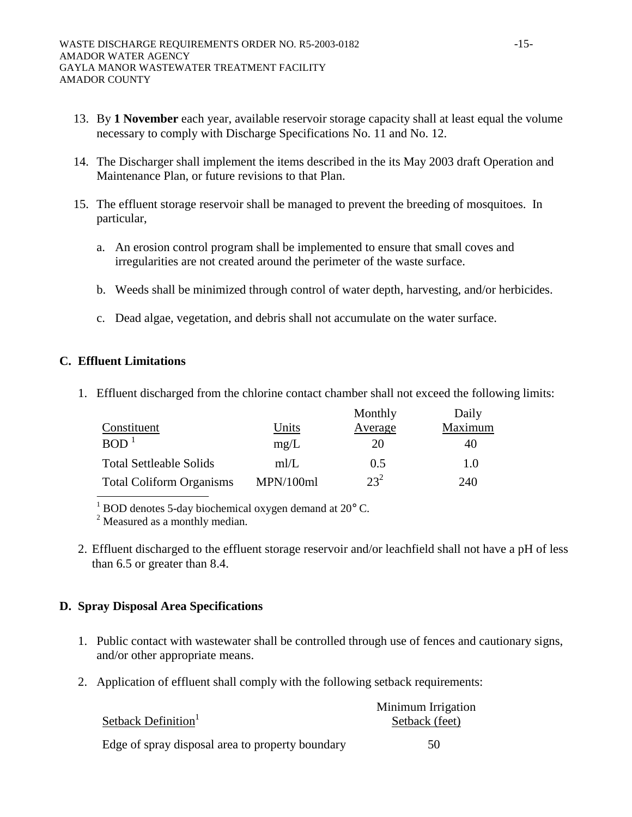- 13. By **1 November** each year, available reservoir storage capacity shall at least equal the volume necessary to comply with Discharge Specifications No. 11 and No. 12.
- 14. The Discharger shall implement the items described in the its May 2003 draft Operation and Maintenance Plan, or future revisions to that Plan.
- 15. The effluent storage reservoir shall be managed to prevent the breeding of mosquitoes. In particular,
	- a. An erosion control program shall be implemented to ensure that small coves and irregularities are not created around the perimeter of the waste surface.
	- b. Weeds shall be minimized through control of water depth, harvesting, and/or herbicides.
	- c. Dead algae, vegetation, and debris shall not accumulate on the water surface.

## **C. Effluent Limitations**

1. Effluent discharged from the chlorine contact chamber shall not exceed the following limits:

|                                 |           | Monthly         | Daily   |
|---------------------------------|-----------|-----------------|---------|
| Constituent                     | Units     | Average         | Maximum |
| BOD <sup>1</sup>                | mg/L      | 20              | 40      |
| <b>Total Settleable Solids</b>  | m/L       | 0.5             | 1.0     |
| <b>Total Coliform Organisms</b> | MPN/100ml | 23 <sup>2</sup> | 240     |

 $1$  BOD denotes 5-day biochemical oxygen demand at 20 $^{\circ}$  C.

<sup>2</sup> Measured as a monthly median.

 2. Effluent discharged to the effluent storage reservoir and/or leachfield shall not have a pH of less than 6.5 or greater than 8.4.

# **D. Spray Disposal Area Specifications**

- 1. Public contact with wastewater shall be controlled through use of fences and cautionary signs, and/or other appropriate means.
- 2. Application of effluent shall comply with the following setback requirements:

|                                                  | Minimum Irrigation |
|--------------------------------------------------|--------------------|
| Setback Definition <sup>1</sup>                  | Setback (feet)     |
| Edge of spray disposal area to property boundary | 50                 |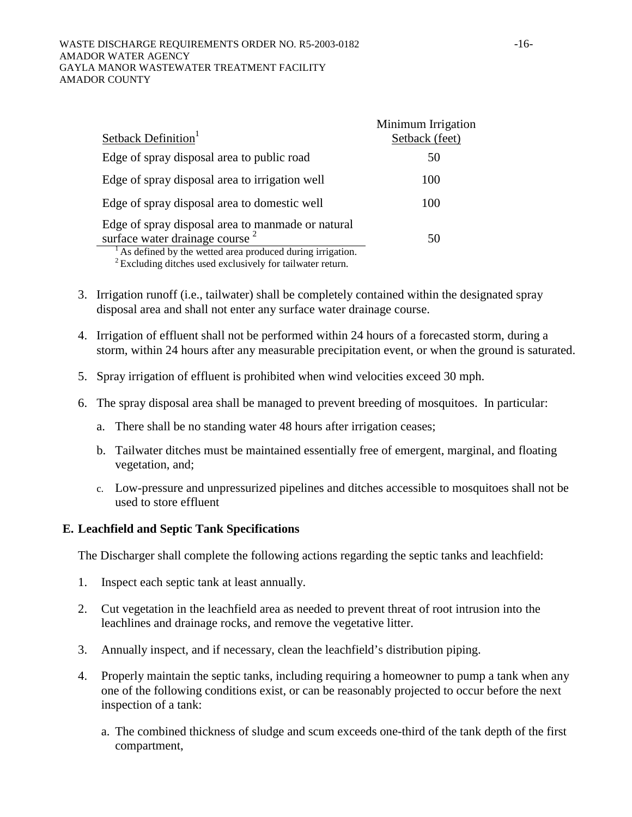#### WASTE DISCHARGE REQUIREMENTS ORDER NO. R5-2003-0182 -16-AMADOR WATER AGENCY GAYLA MANOR WASTEWATER TREATMENT FACILITY AMADOR COUNTY

|                                                                                                                                                              | Minimum Irrigation |
|--------------------------------------------------------------------------------------------------------------------------------------------------------------|--------------------|
| Setback Definition <sup>1</sup>                                                                                                                              | Setback (feet)     |
| Edge of spray disposal area to public road                                                                                                                   | 50                 |
| Edge of spray disposal area to irrigation well                                                                                                               | 100                |
| Edge of spray disposal area to domestic well                                                                                                                 | 100                |
| Edge of spray disposal area to manmade or natural<br>surface water drainage course <sup>2</sup><br>As defined by the wetted area produced during irrigation. | 50                 |

 $2$  Excluding ditches used exclusively for tailwater return.

- 3. Irrigation runoff (i.e., tailwater) shall be completely contained within the designated spray disposal area and shall not enter any surface water drainage course.
- 4. Irrigation of effluent shall not be performed within 24 hours of a forecasted storm, during a storm, within 24 hours after any measurable precipitation event, or when the ground is saturated.
- 5. Spray irrigation of effluent is prohibited when wind velocities exceed 30 mph.
- 6. The spray disposal area shall be managed to prevent breeding of mosquitoes. In particular:
	- a. There shall be no standing water 48 hours after irrigation ceases;
	- b. Tailwater ditches must be maintained essentially free of emergent, marginal, and floating vegetation, and;
	- c. Low-pressure and unpressurized pipelines and ditches accessible to mosquitoes shall not be used to store effluent

### **E. Leachfield and Septic Tank Specifications**

The Discharger shall complete the following actions regarding the septic tanks and leachfield:

- 1. Inspect each septic tank at least annually.
- 2. Cut vegetation in the leachfield area as needed to prevent threat of root intrusion into the leachlines and drainage rocks, and remove the vegetative litter.
- 3. Annually inspect, and if necessary, clean the leachfield's distribution piping.
- 4. Properly maintain the septic tanks, including requiring a homeowner to pump a tank when any one of the following conditions exist, or can be reasonably projected to occur before the next inspection of a tank:
	- a. The combined thickness of sludge and scum exceeds one-third of the tank depth of the first compartment,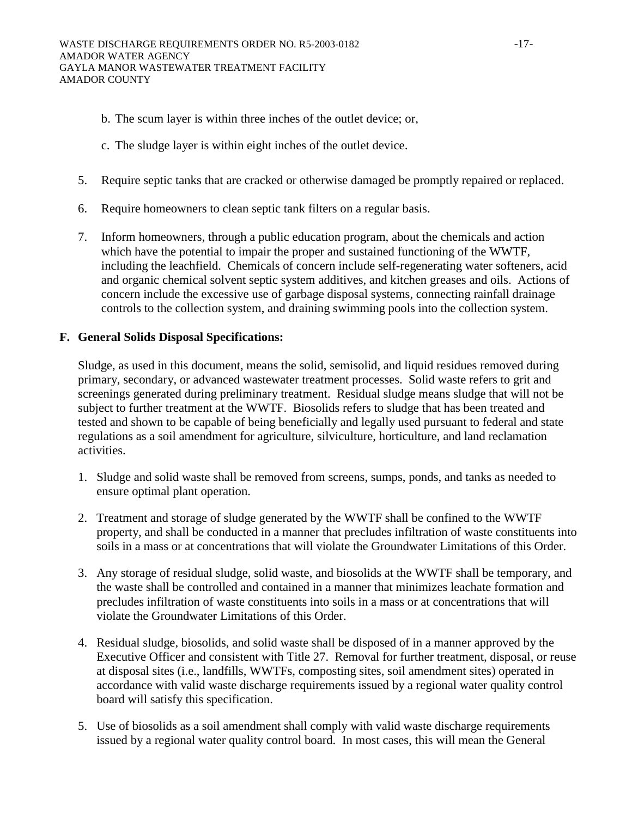- b. The scum layer is within three inches of the outlet device; or,
- c. The sludge layer is within eight inches of the outlet device.
- 5. Require septic tanks that are cracked or otherwise damaged be promptly repaired or replaced.
- 6. Require homeowners to clean septic tank filters on a regular basis.
- 7. Inform homeowners, through a public education program, about the chemicals and action which have the potential to impair the proper and sustained functioning of the WWTF, including the leachfield. Chemicals of concern include self-regenerating water softeners, acid and organic chemical solvent septic system additives, and kitchen greases and oils. Actions of concern include the excessive use of garbage disposal systems, connecting rainfall drainage controls to the collection system, and draining swimming pools into the collection system.

## **F. General Solids Disposal Specifications:**

Sludge, as used in this document, means the solid, semisolid, and liquid residues removed during primary, secondary, or advanced wastewater treatment processes. Solid waste refers to grit and screenings generated during preliminary treatment. Residual sludge means sludge that will not be subject to further treatment at the WWTF. Biosolids refers to sludge that has been treated and tested and shown to be capable of being beneficially and legally used pursuant to federal and state regulations as a soil amendment for agriculture, silviculture, horticulture, and land reclamation activities.

- 1. Sludge and solid waste shall be removed from screens, sumps, ponds, and tanks as needed to ensure optimal plant operation.
- 2. Treatment and storage of sludge generated by the WWTF shall be confined to the WWTF property, and shall be conducted in a manner that precludes infiltration of waste constituents into soils in a mass or at concentrations that will violate the Groundwater Limitations of this Order.
- 3. Any storage of residual sludge, solid waste, and biosolids at the WWTF shall be temporary, and the waste shall be controlled and contained in a manner that minimizes leachate formation and precludes infiltration of waste constituents into soils in a mass or at concentrations that will violate the Groundwater Limitations of this Order.
- 4. Residual sludge, biosolids, and solid waste shall be disposed of in a manner approved by the Executive Officer and consistent with Title 27. Removal for further treatment, disposal, or reuse at disposal sites (i.e., landfills, WWTFs, composting sites, soil amendment sites) operated in accordance with valid waste discharge requirements issued by a regional water quality control board will satisfy this specification.
- 5. Use of biosolids as a soil amendment shall comply with valid waste discharge requirements issued by a regional water quality control board. In most cases, this will mean the General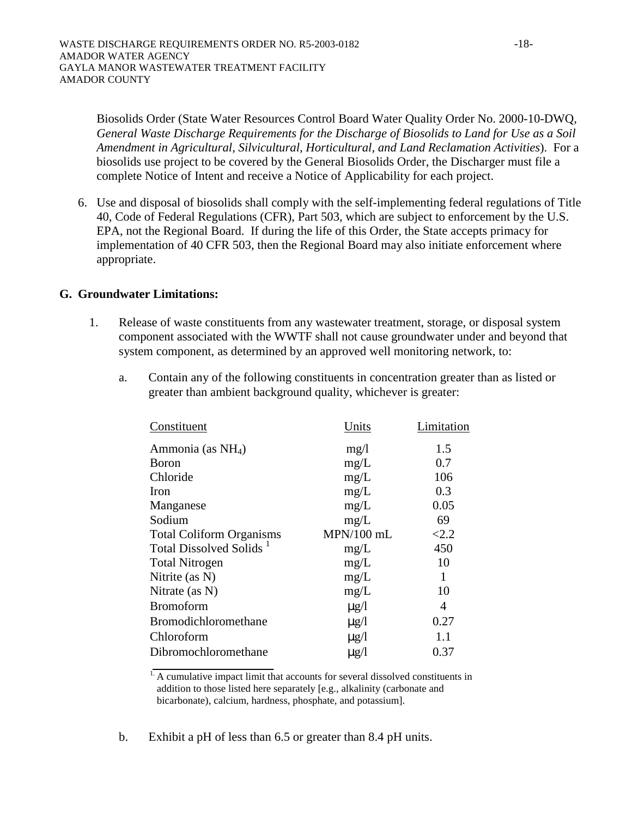Biosolids Order (State Water Resources Control Board Water Quality Order No. 2000-10-DWQ, *General Waste Discharge Requirements for the Discharge of Biosolids to Land for Use as a Soil Amendment in Agricultural, Silvicultural, Horticultural, and Land Reclamation Activities*). For a biosolids use project to be covered by the General Biosolids Order, the Discharger must file a complete Notice of Intent and receive a Notice of Applicability for each project.

6. Use and disposal of biosolids shall comply with the self-implementing federal regulations of Title 40, Code of Federal Regulations (CFR), Part 503, which are subject to enforcement by the U.S. EPA, not the Regional Board. If during the life of this Order, the State accepts primacy for implementation of 40 CFR 503, then the Regional Board may also initiate enforcement where appropriate.

## **G. Groundwater Limitations:**

- 1. Release of waste constituents from any wastewater treatment, storage, or disposal system component associated with the WWTF shall not cause groundwater under and beyond that system component, as determined by an approved well monitoring network, to:
	- a. Contain any of the following constituents in concentration greater than as listed or greater than ambient background quality, whichever is greater:

| Units      | Limitation |
|------------|------------|
| mg/l       | 1.5        |
| mg/L       | 0.7        |
| mg/L       | 106        |
| mg/L       | 0.3        |
| mg/L       | 0.05       |
| mg/L       | 69         |
| MPN/100 mL | < 2.2      |
| mg/L       | 450        |
| mg/L       | 10         |
| mg/L       | 1          |
| mg/L       | 10         |
| $\mu$ g/l  | 4          |
| $\mu$ g/l  | 0.27       |
| $\mu$ g/l  | 1.1        |
| $\mu$ g/l  | 0.37       |
|            |            |

 $<sup>1</sup>$ . A cumulative impact limit that accounts for several dissolved constituents in</sup> addition to those listed here separately [e.g., alkalinity (carbonate and bicarbonate), calcium, hardness, phosphate, and potassium].

b. Exhibit a pH of less than 6.5 or greater than 8.4 pH units.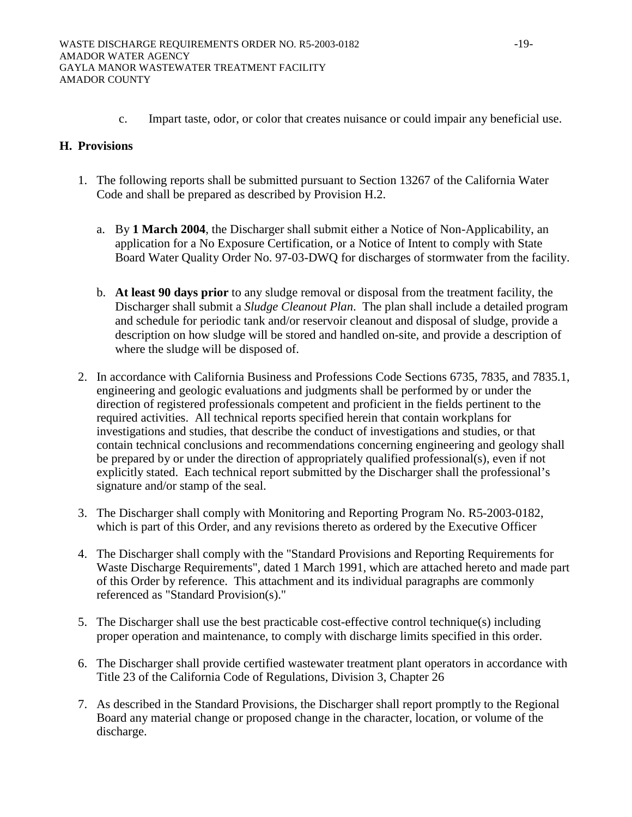c. Impart taste, odor, or color that creates nuisance or could impair any beneficial use.

## **H. Provisions**

- 1. The following reports shall be submitted pursuant to Section 13267 of the California Water Code and shall be prepared as described by Provision H.2.
	- a. By **1 March 2004**, the Discharger shall submit either a Notice of Non-Applicability, an application for a No Exposure Certification, or a Notice of Intent to comply with State Board Water Quality Order No. 97-03-DWQ for discharges of stormwater from the facility.
	- b. **At least 90 days prior** to any sludge removal or disposal from the treatment facility, the Discharger shall submit a *Sludge Cleanout Plan*. The plan shall include a detailed program and schedule for periodic tank and/or reservoir cleanout and disposal of sludge, provide a description on how sludge will be stored and handled on-site, and provide a description of where the sludge will be disposed of.
- 2. In accordance with California Business and Professions Code Sections 6735, 7835, and 7835.1, engineering and geologic evaluations and judgments shall be performed by or under the direction of registered professionals competent and proficient in the fields pertinent to the required activities. All technical reports specified herein that contain workplans for investigations and studies, that describe the conduct of investigations and studies, or that contain technical conclusions and recommendations concerning engineering and geology shall be prepared by or under the direction of appropriately qualified professional(s), even if not explicitly stated. Each technical report submitted by the Discharger shall the professional's signature and/or stamp of the seal.
- 3. The Discharger shall comply with Monitoring and Reporting Program No. R5-2003-0182, which is part of this Order, and any revisions thereto as ordered by the Executive Officer
- 4. The Discharger shall comply with the "Standard Provisions and Reporting Requirements for Waste Discharge Requirements", dated 1 March 1991, which are attached hereto and made part of this Order by reference. This attachment and its individual paragraphs are commonly referenced as "Standard Provision(s)."
- 5. The Discharger shall use the best practicable cost-effective control technique(s) including proper operation and maintenance, to comply with discharge limits specified in this order.
- 6. The Discharger shall provide certified wastewater treatment plant operators in accordance with Title 23 of the California Code of Regulations, Division 3, Chapter 26
- 7. As described in the Standard Provisions, the Discharger shall report promptly to the Regional Board any material change or proposed change in the character, location, or volume of the discharge.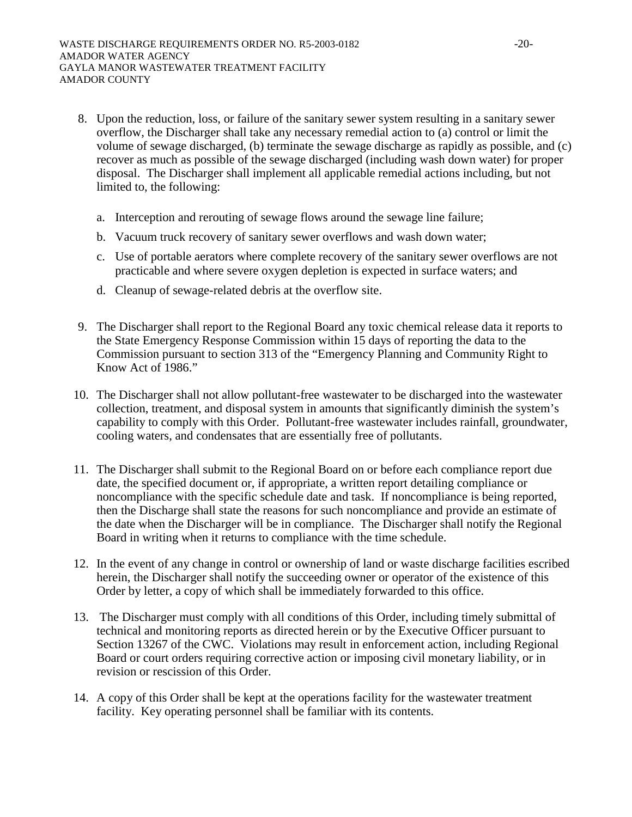- 8. Upon the reduction, loss, or failure of the sanitary sewer system resulting in a sanitary sewer overflow, the Discharger shall take any necessary remedial action to (a) control or limit the volume of sewage discharged, (b) terminate the sewage discharge as rapidly as possible, and (c) recover as much as possible of the sewage discharged (including wash down water) for proper disposal. The Discharger shall implement all applicable remedial actions including, but not limited to, the following:
	- a. Interception and rerouting of sewage flows around the sewage line failure;
	- b. Vacuum truck recovery of sanitary sewer overflows and wash down water;
	- c. Use of portable aerators where complete recovery of the sanitary sewer overflows are not practicable and where severe oxygen depletion is expected in surface waters; and
	- d. Cleanup of sewage-related debris at the overflow site.
- 9. The Discharger shall report to the Regional Board any toxic chemical release data it reports to the State Emergency Response Commission within 15 days of reporting the data to the Commission pursuant to section 313 of the "Emergency Planning and Community Right to Know Act of 1986."
- 10. The Discharger shall not allow pollutant-free wastewater to be discharged into the wastewater collection, treatment, and disposal system in amounts that significantly diminish the system's capability to comply with this Order. Pollutant-free wastewater includes rainfall, groundwater, cooling waters, and condensates that are essentially free of pollutants.
- 11. The Discharger shall submit to the Regional Board on or before each compliance report due date, the specified document or, if appropriate, a written report detailing compliance or noncompliance with the specific schedule date and task. If noncompliance is being reported, then the Discharge shall state the reasons for such noncompliance and provide an estimate of the date when the Discharger will be in compliance. The Discharger shall notify the Regional Board in writing when it returns to compliance with the time schedule.
- 12. In the event of any change in control or ownership of land or waste discharge facilities escribed herein, the Discharger shall notify the succeeding owner or operator of the existence of this Order by letter, a copy of which shall be immediately forwarded to this office.
- 13. The Discharger must comply with all conditions of this Order, including timely submittal of technical and monitoring reports as directed herein or by the Executive Officer pursuant to Section 13267 of the CWC. Violations may result in enforcement action, including Regional Board or court orders requiring corrective action or imposing civil monetary liability, or in revision or rescission of this Order.
- 14. A copy of this Order shall be kept at the operations facility for the wastewater treatment facility. Key operating personnel shall be familiar with its contents.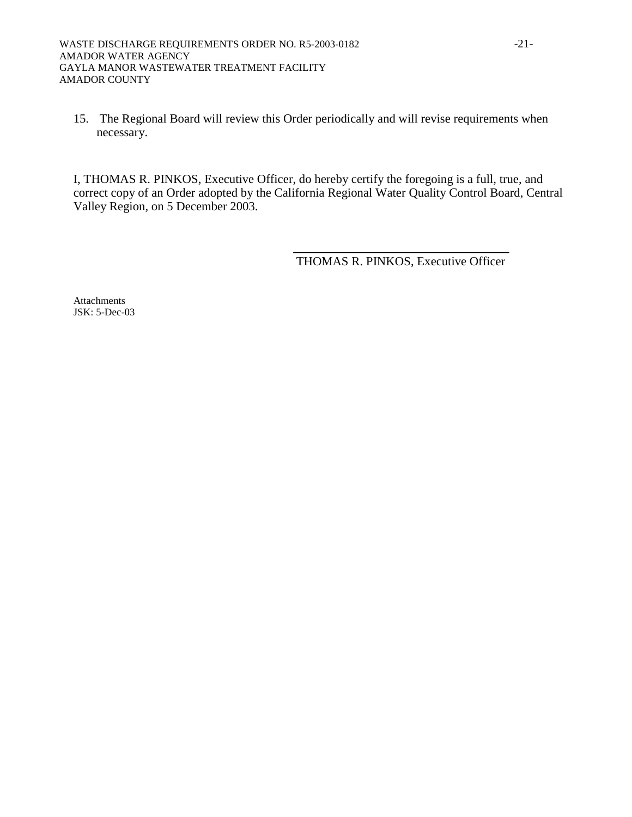15. The Regional Board will review this Order periodically and will revise requirements when necessary.

I, THOMAS R. PINKOS, Executive Officer, do hereby certify the foregoing is a full, true, and correct copy of an Order adopted by the California Regional Water Quality Control Board, Central Valley Region, on 5 December 2003.

THOMAS R. PINKOS, Executive Officer

**Attachments** JSK: 5-Dec-03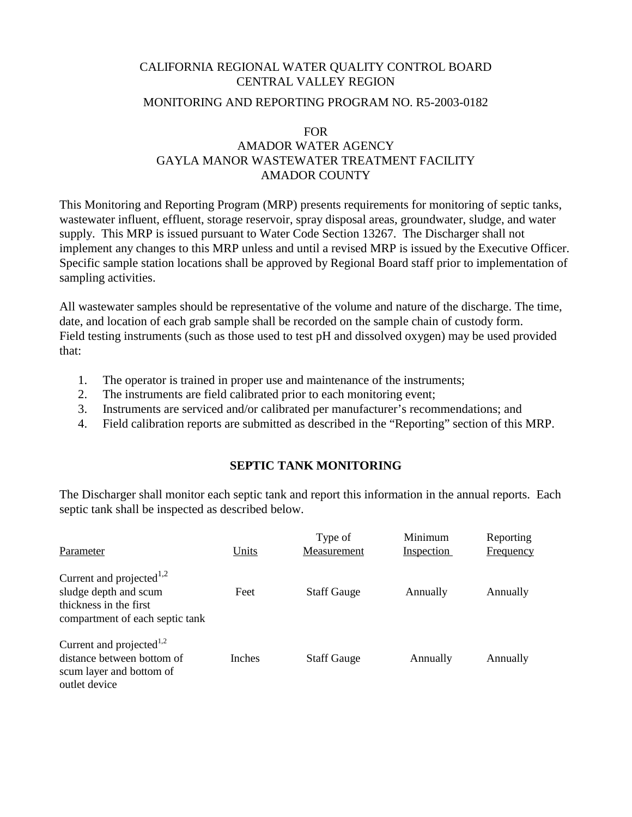# CALIFORNIA REGIONAL WATER QUALITY CONTROL BOARD CENTRAL VALLEY REGION

## MONITORING AND REPORTING PROGRAM NO. R5-2003-0182

### FOR

# AMADOR WATER AGENCY GAYLA MANOR WASTEWATER TREATMENT FACILITY AMADOR COUNTY

This Monitoring and Reporting Program (MRP) presents requirements for monitoring of septic tanks, wastewater influent, effluent, storage reservoir, spray disposal areas, groundwater, sludge, and water supply. This MRP is issued pursuant to Water Code Section 13267. The Discharger shall not implement any changes to this MRP unless and until a revised MRP is issued by the Executive Officer. Specific sample station locations shall be approved by Regional Board staff prior to implementation of sampling activities.

All wastewater samples should be representative of the volume and nature of the discharge. The time, date, and location of each grab sample shall be recorded on the sample chain of custody form. Field testing instruments (such as those used to test pH and dissolved oxygen) may be used provided that:

- 1. The operator is trained in proper use and maintenance of the instruments;
- 2. The instruments are field calibrated prior to each monitoring event;
- 3. Instruments are serviced and/or calibrated per manufacturer's recommendations; and
- 4. Field calibration reports are submitted as described in the "Reporting" section of this MRP.

# **SEPTIC TANK MONITORING**

The Discharger shall monitor each septic tank and report this information in the annual reports. Each septic tank shall be inspected as described below.

| Parameter                                                                                                                  | Units         | Type of<br>Measurement | Minimum<br><b>Inspection</b> | Reporting<br><b>Frequency</b> |
|----------------------------------------------------------------------------------------------------------------------------|---------------|------------------------|------------------------------|-------------------------------|
| Current and projected <sup>1,2</sup><br>sludge depth and scum<br>thickness in the first<br>compartment of each septic tank | Feet          | <b>Staff Gauge</b>     | Annually                     | Annually                      |
| Current and projected <sup>1,2</sup><br>distance between bottom of<br>scum layer and bottom of<br>outlet device            | <b>Inches</b> | <b>Staff Gauge</b>     | Annually                     | Annually                      |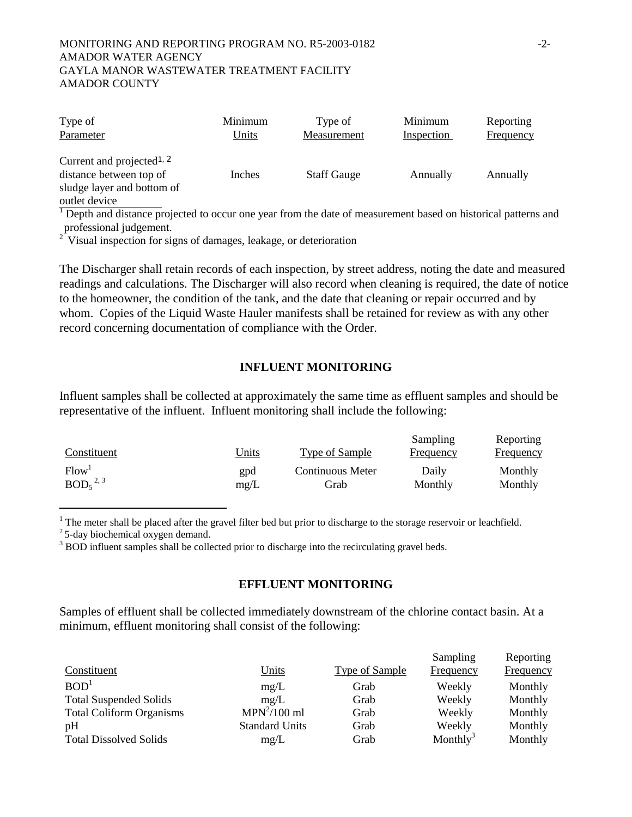#### MONITORING AND REPORTING PROGRAM NO. R5-2003-0182 -2- AMADOR WATER AGENCY GAYLA MANOR WASTEWATER TREATMENT FACILITY AMADOR COUNTY

| Type of                                                                                                         | Minimum | Type of            | Minimum    | Reporting |
|-----------------------------------------------------------------------------------------------------------------|---------|--------------------|------------|-----------|
| Parameter                                                                                                       | Units   | Measurement        | Inspection | Frequency |
| Current and projected <sup>1, 2</sup><br>distance between top of<br>sludge layer and bottom of<br>outlet device | Inches  | <b>Staff Gauge</b> | Annually   | Annually  |

1 Depth and distance projected to occur one year from the date of measurement based on historical patterns and professional judgement.

 $2^2$  Visual inspection for signs of damages, leakage, or deterioration

The Discharger shall retain records of each inspection, by street address, noting the date and measured readings and calculations. The Discharger will also record when cleaning is required, the date of notice to the homeowner, the condition of the tank, and the date that cleaning or repair occurred and by whom. Copies of the Liquid Waste Hauler manifests shall be retained for review as with any other record concerning documentation of compliance with the Order.

#### **INFLUENT MONITORING**

Influent samples shall be collected at approximately the same time as effluent samples and should be representative of the influent. Influent monitoring shall include the following:

|                                  |              |                  | Sampling         | Reporting        |
|----------------------------------|--------------|------------------|------------------|------------------|
| Constituent                      | <u>Units</u> | Type of Sample   | <b>Frequency</b> | <b>Frequency</b> |
| Flow <sup>1</sup>                | gpd          | Continuous Meter | Daily            | Monthly          |
| BOD <sub>5</sub> <sup>2, 3</sup> | mg/L         | Grab             | Monthly          | Monthly          |

 $1$  The meter shall be placed after the gravel filter bed but prior to discharge to the storage reservoir or leachfield.

 $2^2$  5-day biochemical oxygen demand.

İ

<sup>3</sup> BOD influent samples shall be collected prior to discharge into the recirculating gravel beds.

### **EFFLUENT MONITORING**

Samples of effluent shall be collected immediately downstream of the chlorine contact basin. At a minimum, effluent monitoring shall consist of the following:

|                                 |                       |                       | Sampling             | Reporting        |
|---------------------------------|-----------------------|-----------------------|----------------------|------------------|
| Constituent                     | <u>Units</u>          | <b>Type of Sample</b> | Frequency            | <b>Frequency</b> |
| BOD <sup>1</sup>                | mg/L                  | Grab                  | Weekly               | Monthly          |
| <b>Total Suspended Solids</b>   | mg/L                  | Grab                  | Weekly               | Monthly          |
| <b>Total Coliform Organisms</b> | $MPN2/100$ ml         | Grab                  | Weekly               | Monthly          |
| pH                              | <b>Standard Units</b> | Grab                  | Weekly               | Monthly          |
| <b>Total Dissolved Solids</b>   | mg/L                  | Grab                  | Monthly <sup>3</sup> | Monthly          |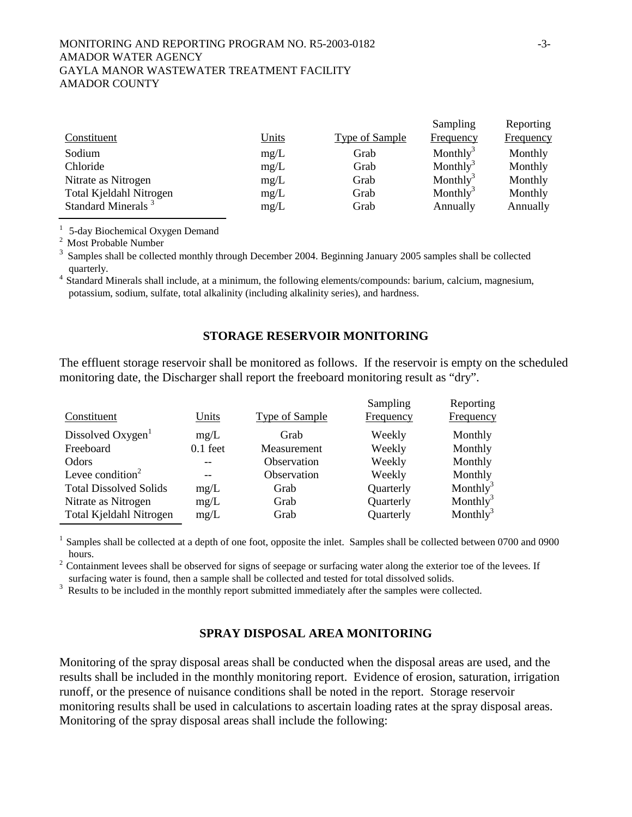#### MONITORING AND REPORTING PROGRAM NO. R5-2003-0182 -3- AMADOR WATER AGENCY GAYLA MANOR WASTEWATER TREATMENT FACILITY AMADOR COUNTY

|                                |              |                       | Sampling             | Reporting        |
|--------------------------------|--------------|-----------------------|----------------------|------------------|
| Constituent                    | <u>Units</u> | <b>Type of Sample</b> | Frequency            | <b>Frequency</b> |
| Sodium                         | mg/L         | Grab                  | Monthly <sup>3</sup> | Monthly          |
| Chloride                       | mg/L         | Grab                  | Monthly <sup>3</sup> | Monthly          |
| Nitrate as Nitrogen            | mg/L         | Grab                  | Monthly <sup>3</sup> | Monthly          |
| Total Kjeldahl Nitrogen        | mg/L         | Grab                  | Monthly <sup>3</sup> | Monthly          |
| Standard Minerals <sup>3</sup> | mg/L         | Grab                  | Annually             | Annually         |

<sup>1</sup> 5-day Biochemical Oxygen Demand <sup>2</sup> Most Probable Number

Samples shall be collected monthly through December 2004. Beginning January 2005 samples shall be collected quarterly.<br><sup>4</sup> Standard Minerals shall include, at a minimum, the following elements/compounds: barium, calcium, magnesium,

potassium, sodium, sulfate, total alkalinity (including alkalinity series), and hardness.

### **STORAGE RESERVOIR MONITORING**

The effluent storage reservoir shall be monitored as follows. If the reservoir is empty on the scheduled monitoring date, the Discharger shall report the freeboard monitoring result as "dry".

| Constituent                   | Units      | <b>Type of Sample</b> | Sampling<br>Frequency | Reporting<br>Frequency |
|-------------------------------|------------|-----------------------|-----------------------|------------------------|
| Dissolved Oxygen              | mg/L       | Grab                  | Weekly                | Monthly                |
| Freeboard                     | $0.1$ feet | Measurement           | Weekly                | Monthly                |
| Odors                         |            | Observation           | Weekly                | Monthly                |
| Levee condition <sup>2</sup>  |            | Observation           | Weekly                | Monthly                |
| <b>Total Dissolved Solids</b> | mg/L       | Grab                  | Quarterly             | Monthly <sup>3</sup>   |
| Nitrate as Nitrogen           | mg/L       | Grab                  | Quarterly             | Monthly <sup>3</sup>   |
| Total Kjeldahl Nitrogen       | mg/L       | Grab                  | Quarterly             | Monthly <sup>3</sup>   |

<sup>1</sup> Samples shall be collected at a depth of one foot, opposite the inlet. Samples shall be collected between 0700 and 0900 hours.<br><sup>2</sup> Containment levees shall be observed for signs of seepage or surfacing water along the exterior toe of the levees. If

surfacing water is found, then a sample shall be collected and tested for total dissolved solids.

<sup>3</sup> Results to be included in the monthly report submitted immediately after the samples were collected.

## **SPRAY DISPOSAL AREA MONITORING**

Monitoring of the spray disposal areas shall be conducted when the disposal areas are used, and the results shall be included in the monthly monitoring report. Evidence of erosion, saturation, irrigation runoff, or the presence of nuisance conditions shall be noted in the report. Storage reservoir monitoring results shall be used in calculations to ascertain loading rates at the spray disposal areas. Monitoring of the spray disposal areas shall include the following: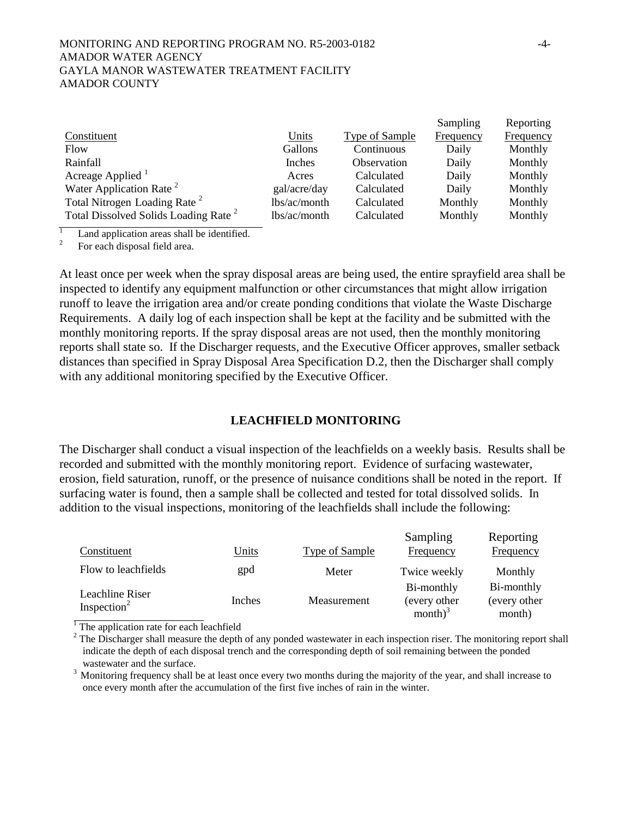#### MONITORING AND REPORTING PROGRAM NO. R5-2003-0182 -4- AMADOR WATER AGENCY GAYLA MANOR WASTEWATER TREATMENT FACILITY AMADOR COUNTY

|                                                  |              |                | Sampling  | Reporting |
|--------------------------------------------------|--------------|----------------|-----------|-----------|
| Constituent                                      | Units        | Type of Sample | Frequency | Frequency |
| Flow                                             | Gallons      | Continuous     | Daily     | Monthly   |
| Rainfall                                         | Inches       | Observation    | Daily     | Monthly   |
| Acreage Applied $1$                              | Acres        | Calculated     | Daily     | Monthly   |
| Water Application Rate <sup>2</sup>              | gal/acre/day | Calculated     | Daily     | Monthly   |
| Total Nitrogen Loading Rate <sup>2</sup>         | lbs/ac/month | Calculated     | Monthly   | Monthly   |
| Total Dissolved Solids Loading Rate <sup>2</sup> | lbs/ac/month | Calculated     | Monthly   | Monthly   |

1 Land application areas shall be identified.

2 For each disposal field area.

At least once per week when the spray disposal areas are being used, the entire sprayfield area shall be inspected to identify any equipment malfunction or other circumstances that might allow irrigation runoff to leave the irrigation area and/or create ponding conditions that violate the Waste Discharge Requirements. A daily log of each inspection shall be kept at the facility and be submitted with the monthly monitoring reports. If the spray disposal areas are not used, then the monthly monitoring reports shall state so. If the Discharger requests, and the Executive Officer approves, smaller setback distances than specified in Spray Disposal Area Specification D.2, then the Discharger shall comply with any additional monitoring specified by the Executive Officer.

### **LEACHFIELD MONITORING**

The Discharger shall conduct a visual inspection of the leachfields on a weekly basis. Results shall be recorded and submitted with the monthly monitoring report. Evidence of surfacing wastewater, erosion, field saturation, runoff, or the presence of nuisance conditions shall be noted in the report. If surfacing water is found, then a sample shall be collected and tested for total dissolved solids. In addition to the visual inspections, monitoring of the leachfields shall include the following:

| Constituent                                | Units  | <b>Type of Sample</b> | Sampling<br>Frequency                    | Reporting<br>Frequency               |
|--------------------------------------------|--------|-----------------------|------------------------------------------|--------------------------------------|
| Flow to leachfields                        | gpd    | Meter                 | Twice weekly                             | Monthly                              |
| Leachline Riser<br>Inspection <sup>2</sup> | Inches | Measurement           | Bi-monthly<br>(every other<br>month) $3$ | Bi-monthly<br>(every other<br>month) |

 $\overline{1}$  The application rate for each leachfield

 $2^2$  The Discharger shall measure the depth of any ponded wastewater in each inspection riser. The monitoring report shall indicate the depth of each disposal trench and the corresponding depth of soil remaining between the ponded wastewater and the surface.

<sup>3</sup> Monitoring frequency shall be at least once every two months during the majority of the year, and shall increase to once every month after the accumulation of the first five inches of rain in the winter.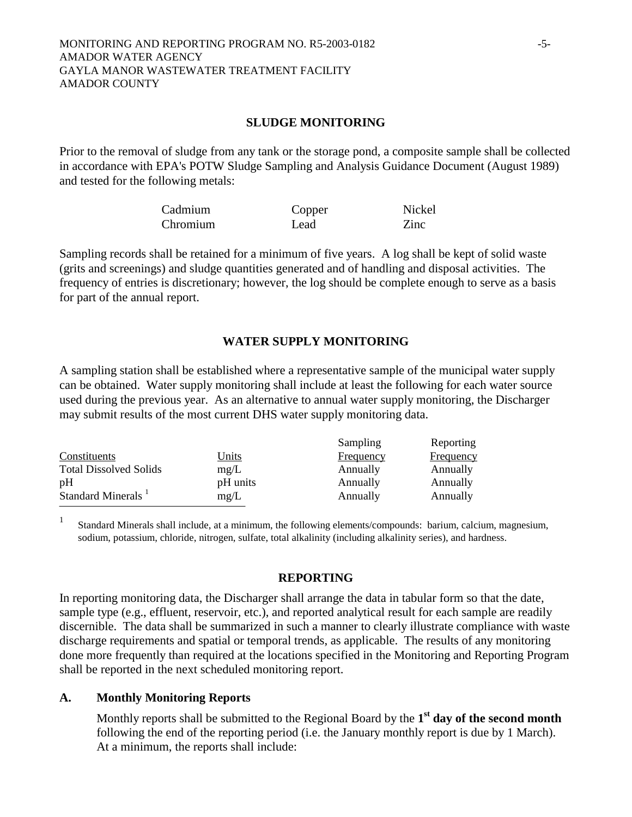### **SLUDGE MONITORING**

Prior to the removal of sludge from any tank or the storage pond, a composite sample shall be collected in accordance with EPA's POTW Sludge Sampling and Analysis Guidance Document (August 1989) and tested for the following metals:

| Cadmium  | Copper | Nickel |
|----------|--------|--------|
| Chromium | Lead   | Zinc   |

Sampling records shall be retained for a minimum of five years. A log shall be kept of solid waste (grits and screenings) and sludge quantities generated and of handling and disposal activities. The frequency of entries is discretionary; however, the log should be complete enough to serve as a basis for part of the annual report.

## **WATER SUPPLY MONITORING**

A sampling station shall be established where a representative sample of the municipal water supply can be obtained. Water supply monitoring shall include at least the following for each water source used during the previous year. As an alternative to annual water supply monitoring, the Discharger may submit results of the most current DHS water supply monitoring data.

|                                |              | Sampling  | Reporting        |
|--------------------------------|--------------|-----------|------------------|
| Constituents                   | <b>Units</b> | Frequency | <b>Frequency</b> |
| <b>Total Dissolved Solids</b>  | mg/L         | Annually  | Annually         |
| pH                             | pH units     | Annually  | Annually         |
| Standard Minerals <sup>1</sup> | mg/L         | Annually  | Annually         |
|                                |              |           |                  |

<sup>1</sup> Standard Minerals shall include, at a minimum, the following elements/compounds: barium, calcium, magnesium, sodium, potassium, chloride, nitrogen, sulfate, total alkalinity (including alkalinity series), and hardness.

### **REPORTING**

In reporting monitoring data, the Discharger shall arrange the data in tabular form so that the date, sample type (e.g., effluent, reservoir, etc.), and reported analytical result for each sample are readily discernible. The data shall be summarized in such a manner to clearly illustrate compliance with waste discharge requirements and spatial or temporal trends, as applicable. The results of any monitoring done more frequently than required at the locations specified in the Monitoring and Reporting Program shall be reported in the next scheduled monitoring report.

## **A. Monthly Monitoring Reports**

Monthly reports shall be submitted to the Regional Board by the **1st day of the second month** following the end of the reporting period (i.e. the January monthly report is due by 1 March). At a minimum, the reports shall include: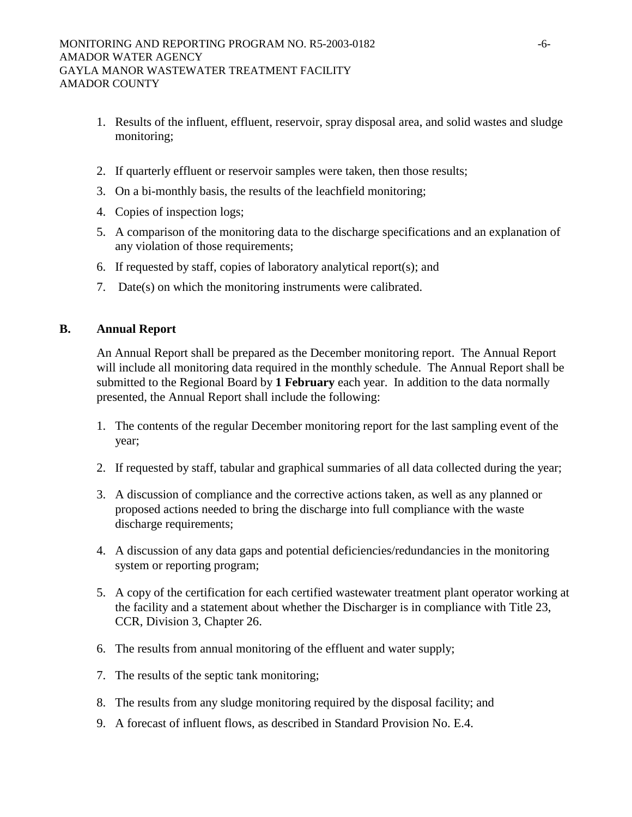- 1. Results of the influent, effluent, reservoir, spray disposal area, and solid wastes and sludge monitoring;
- 2. If quarterly effluent or reservoir samples were taken, then those results;
- 3. On a bi-monthly basis, the results of the leachfield monitoring;
- 4. Copies of inspection logs;
- 5. A comparison of the monitoring data to the discharge specifications and an explanation of any violation of those requirements;
- 6. If requested by staff, copies of laboratory analytical report(s); and
- 7. Date(s) on which the monitoring instruments were calibrated.

### **B. Annual Report**

An Annual Report shall be prepared as the December monitoring report. The Annual Report will include all monitoring data required in the monthly schedule. The Annual Report shall be submitted to the Regional Board by **1 February** each year. In addition to the data normally presented, the Annual Report shall include the following:

- 1. The contents of the regular December monitoring report for the last sampling event of the year;
- 2. If requested by staff, tabular and graphical summaries of all data collected during the year;
- 3. A discussion of compliance and the corrective actions taken, as well as any planned or proposed actions needed to bring the discharge into full compliance with the waste discharge requirements;
- 4. A discussion of any data gaps and potential deficiencies/redundancies in the monitoring system or reporting program;
- 5. A copy of the certification for each certified wastewater treatment plant operator working at the facility and a statement about whether the Discharger is in compliance with Title 23, CCR, Division 3, Chapter 26.
- 6. The results from annual monitoring of the effluent and water supply;
- 7. The results of the septic tank monitoring;
- 8. The results from any sludge monitoring required by the disposal facility; and
- 9. A forecast of influent flows, as described in Standard Provision No. E.4.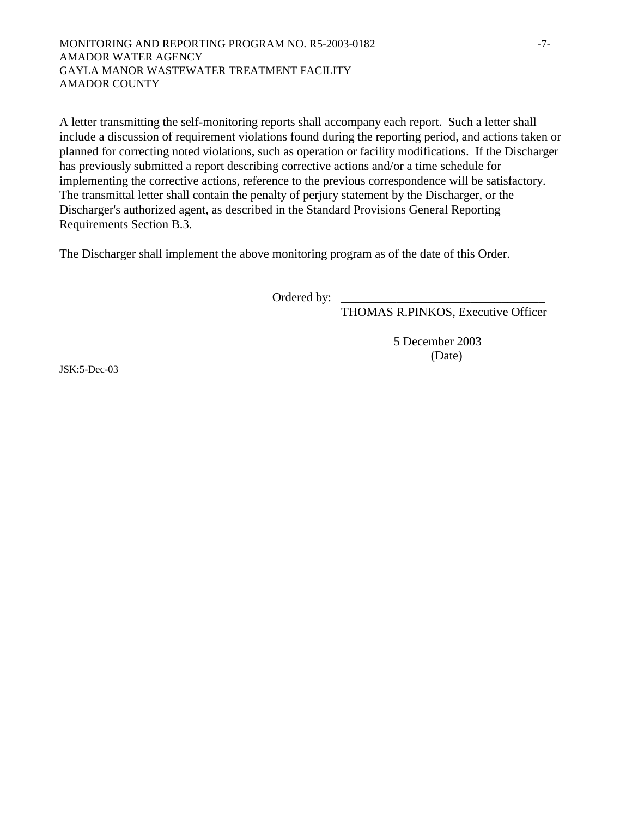#### MONITORING AND REPORTING PROGRAM NO. R5-2003-0182 -7- AMADOR WATER AGENCY GAYLA MANOR WASTEWATER TREATMENT FACILITY AMADOR COUNTY

A letter transmitting the self-monitoring reports shall accompany each report. Such a letter shall include a discussion of requirement violations found during the reporting period, and actions taken or planned for correcting noted violations, such as operation or facility modifications. If the Discharger has previously submitted a report describing corrective actions and/or a time schedule for implementing the corrective actions, reference to the previous correspondence will be satisfactory. The transmittal letter shall contain the penalty of perjury statement by the Discharger, or the Discharger's authorized agent, as described in the Standard Provisions General Reporting Requirements Section B.3.

The Discharger shall implement the above monitoring program as of the date of this Order.

Ordered by: \_

THOMAS R.PINKOS, Executive Officer

5 December 2003

(Date)

JSK:5-Dec-03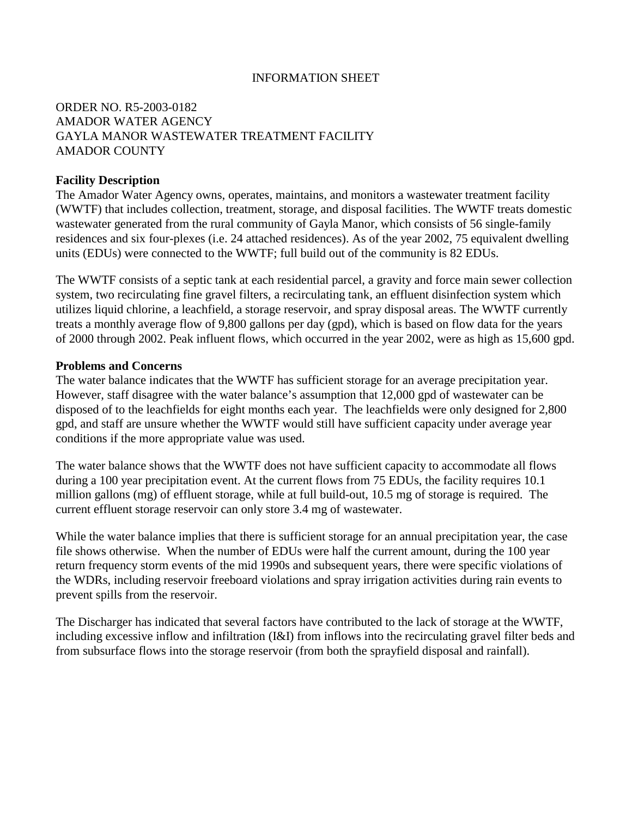## INFORMATION SHEET

# ORDER NO. R5-2003-0182 AMADOR WATER AGENCY GAYLA MANOR WASTEWATER TREATMENT FACILITY AMADOR COUNTY

### **Facility Description**

The Amador Water Agency owns, operates, maintains, and monitors a wastewater treatment facility (WWTF) that includes collection, treatment, storage, and disposal facilities. The WWTF treats domestic wastewater generated from the rural community of Gayla Manor, which consists of 56 single-family residences and six four-plexes (i.e. 24 attached residences). As of the year 2002, 75 equivalent dwelling units (EDUs) were connected to the WWTF; full build out of the community is 82 EDUs.

The WWTF consists of a septic tank at each residential parcel, a gravity and force main sewer collection system, two recirculating fine gravel filters, a recirculating tank, an effluent disinfection system which utilizes liquid chlorine, a leachfield, a storage reservoir, and spray disposal areas. The WWTF currently treats a monthly average flow of 9,800 gallons per day (gpd), which is based on flow data for the years of 2000 through 2002. Peak influent flows, which occurred in the year 2002, were as high as 15,600 gpd.

#### **Problems and Concerns**

The water balance indicates that the WWTF has sufficient storage for an average precipitation year. However, staff disagree with the water balance's assumption that 12,000 gpd of wastewater can be disposed of to the leachfields for eight months each year. The leachfields were only designed for 2,800 gpd, and staff are unsure whether the WWTF would still have sufficient capacity under average year conditions if the more appropriate value was used.

The water balance shows that the WWTF does not have sufficient capacity to accommodate all flows during a 100 year precipitation event. At the current flows from 75 EDUs, the facility requires 10.1 million gallons (mg) of effluent storage, while at full build-out, 10.5 mg of storage is required. The current effluent storage reservoir can only store 3.4 mg of wastewater.

While the water balance implies that there is sufficient storage for an annual precipitation year, the case file shows otherwise. When the number of EDUs were half the current amount, during the 100 year return frequency storm events of the mid 1990s and subsequent years, there were specific violations of the WDRs, including reservoir freeboard violations and spray irrigation activities during rain events to prevent spills from the reservoir.

The Discharger has indicated that several factors have contributed to the lack of storage at the WWTF, including excessive inflow and infiltration (I&I) from inflows into the recirculating gravel filter beds and from subsurface flows into the storage reservoir (from both the sprayfield disposal and rainfall).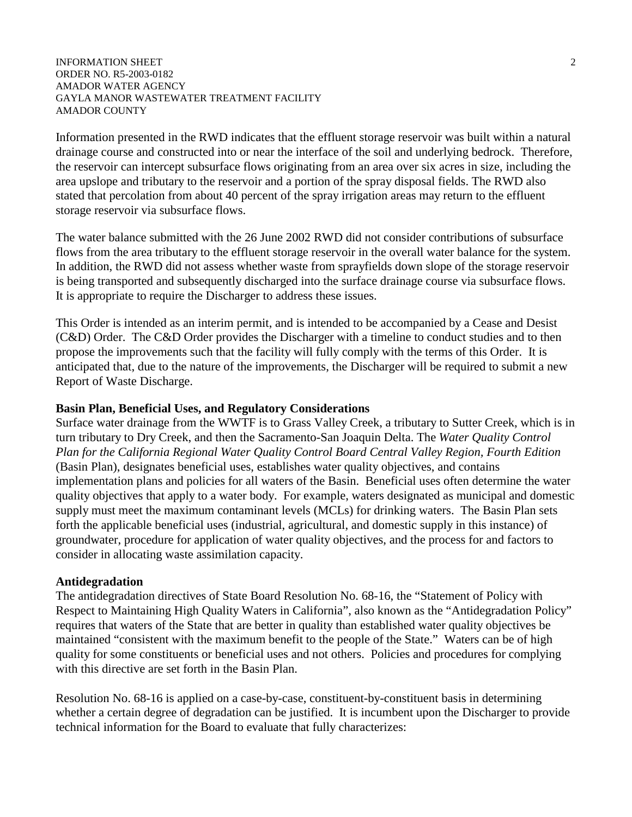#### INFORMATION SHEET 2 ORDER NO. R5-2003-0182 AMADOR WATER AGENCY GAYLA MANOR WASTEWATER TREATMENT FACILITY AMADOR COUNTY

Information presented in the RWD indicates that the effluent storage reservoir was built within a natural drainage course and constructed into or near the interface of the soil and underlying bedrock. Therefore, the reservoir can intercept subsurface flows originating from an area over six acres in size, including the area upslope and tributary to the reservoir and a portion of the spray disposal fields. The RWD also stated that percolation from about 40 percent of the spray irrigation areas may return to the effluent storage reservoir via subsurface flows.

The water balance submitted with the 26 June 2002 RWD did not consider contributions of subsurface flows from the area tributary to the effluent storage reservoir in the overall water balance for the system. In addition, the RWD did not assess whether waste from sprayfields down slope of the storage reservoir is being transported and subsequently discharged into the surface drainage course via subsurface flows. It is appropriate to require the Discharger to address these issues.

This Order is intended as an interim permit, and is intended to be accompanied by a Cease and Desist (C&D) Order. The C&D Order provides the Discharger with a timeline to conduct studies and to then propose the improvements such that the facility will fully comply with the terms of this Order. It is anticipated that, due to the nature of the improvements, the Discharger will be required to submit a new Report of Waste Discharge.

### **Basin Plan, Beneficial Uses, and Regulatory Considerations**

Surface water drainage from the WWTF is to Grass Valley Creek, a tributary to Sutter Creek, which is in turn tributary to Dry Creek, and then the Sacramento-San Joaquin Delta. The *Water Quality Control Plan for the California Regional Water Quality Control Board Central Valley Region, Fourth Edition* (Basin Plan), designates beneficial uses, establishes water quality objectives, and contains implementation plans and policies for all waters of the Basin. Beneficial uses often determine the water quality objectives that apply to a water body. For example, waters designated as municipal and domestic supply must meet the maximum contaminant levels (MCLs) for drinking waters. The Basin Plan sets forth the applicable beneficial uses (industrial, agricultural, and domestic supply in this instance) of groundwater, procedure for application of water quality objectives, and the process for and factors to consider in allocating waste assimilation capacity.

### **Antidegradation**

The antidegradation directives of State Board Resolution No. 68-16, the "Statement of Policy with Respect to Maintaining High Quality Waters in California", also known as the "Antidegradation Policy" requires that waters of the State that are better in quality than established water quality objectives be maintained "consistent with the maximum benefit to the people of the State." Waters can be of high quality for some constituents or beneficial uses and not others. Policies and procedures for complying with this directive are set forth in the Basin Plan.

Resolution No. 68-16 is applied on a case-by-case, constituent-by-constituent basis in determining whether a certain degree of degradation can be justified. It is incumbent upon the Discharger to provide technical information for the Board to evaluate that fully characterizes: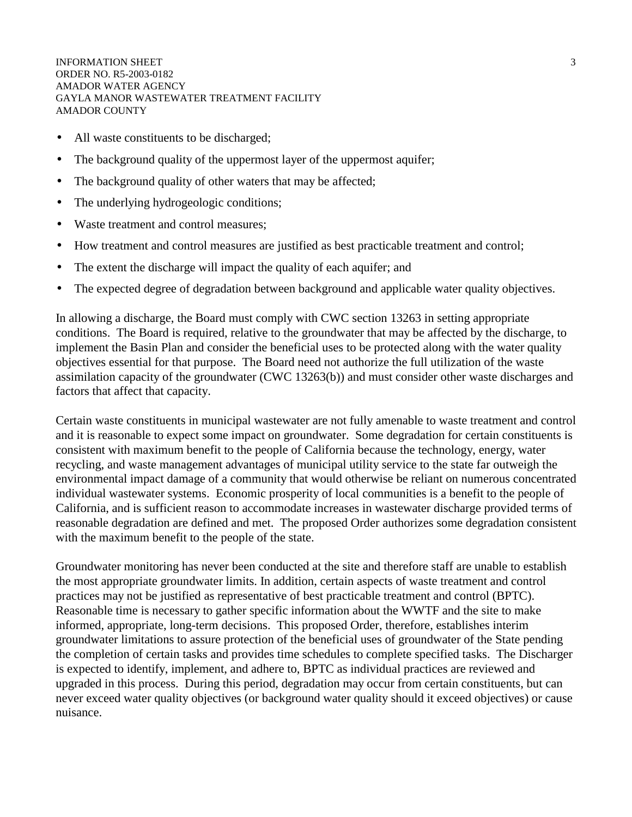INFORMATION SHEET 3 ORDER NO. R5-2003-0182 AMADOR WATER AGENCY GAYLA MANOR WASTEWATER TREATMENT FACILITY AMADOR COUNTY

- All waste constituents to be discharged;
- The background quality of the uppermost layer of the uppermost aquifer;
- The background quality of other waters that may be affected;
- The underlying hydrogeologic conditions;
- Waste treatment and control measures;
- How treatment and control measures are justified as best practicable treatment and control;
- The extent the discharge will impact the quality of each aquifer; and
- The expected degree of degradation between background and applicable water quality objectives.

In allowing a discharge, the Board must comply with CWC section 13263 in setting appropriate conditions. The Board is required, relative to the groundwater that may be affected by the discharge, to implement the Basin Plan and consider the beneficial uses to be protected along with the water quality objectives essential for that purpose. The Board need not authorize the full utilization of the waste assimilation capacity of the groundwater (CWC 13263(b)) and must consider other waste discharges and factors that affect that capacity.

Certain waste constituents in municipal wastewater are not fully amenable to waste treatment and control and it is reasonable to expect some impact on groundwater. Some degradation for certain constituents is consistent with maximum benefit to the people of California because the technology, energy, water recycling, and waste management advantages of municipal utility service to the state far outweigh the environmental impact damage of a community that would otherwise be reliant on numerous concentrated individual wastewater systems. Economic prosperity of local communities is a benefit to the people of California, and is sufficient reason to accommodate increases in wastewater discharge provided terms of reasonable degradation are defined and met. The proposed Order authorizes some degradation consistent with the maximum benefit to the people of the state.

Groundwater monitoring has never been conducted at the site and therefore staff are unable to establish the most appropriate groundwater limits. In addition, certain aspects of waste treatment and control practices may not be justified as representative of best practicable treatment and control (BPTC). Reasonable time is necessary to gather specific information about the WWTF and the site to make informed, appropriate, long-term decisions. This proposed Order, therefore, establishes interim groundwater limitations to assure protection of the beneficial uses of groundwater of the State pending the completion of certain tasks and provides time schedules to complete specified tasks. The Discharger is expected to identify, implement, and adhere to, BPTC as individual practices are reviewed and upgraded in this process. During this period, degradation may occur from certain constituents, but can never exceed water quality objectives (or background water quality should it exceed objectives) or cause nuisance.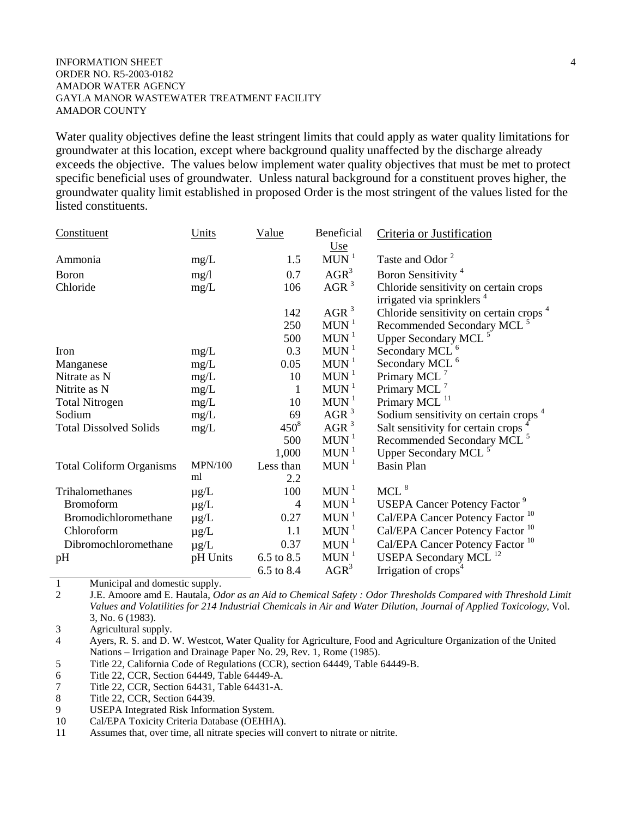#### INFORMATION SHEET 4 ORDER NO. R5-2003-0182 AMADOR WATER AGENCY GAYLA MANOR WASTEWATER TREATMENT FACILITY AMADOR COUNTY

Water quality objectives define the least stringent limits that could apply as water quality limitations for groundwater at this location, except where background quality unaffected by the discharge already exceeds the objective. The values below implement water quality objectives that must be met to protect specific beneficial uses of groundwater. Unless natural background for a constituent proves higher, the groundwater quality limit established in proposed Order is the most stringent of the values listed for the listed constituents.

| Constituent                     | Units          | <u>Value</u>             | Beneficial                       | Criteria or Justification                          |
|---------------------------------|----------------|--------------------------|----------------------------------|----------------------------------------------------|
| Ammonia                         | mg/L           | 1.5                      | <u>Use</u><br>$MUN$ <sup>1</sup> | Taste and Odor <sup>2</sup>                        |
| <b>Boron</b>                    |                | 0.7                      | $AGR^3$                          | Boron Sensitivity <sup>4</sup>                     |
| Chloride                        | mg/1<br>mg/L   | 106                      | $AGR^3$                          | Chloride sensitivity on certain crops              |
|                                 |                |                          |                                  | irrigated via sprinklers <sup>4</sup>              |
|                                 |                | 142                      | AGR <sup>3</sup>                 | Chloride sensitivity on certain crops <sup>4</sup> |
|                                 |                | 250                      | $MUN$ <sup>1</sup>               | Recommended Secondary MCL <sup>5</sup>             |
|                                 |                | 500                      | $MUN$ <sup>1</sup>               | Upper Secondary MCL <sup>5</sup>                   |
| Iron                            | mg/L           | 0.3                      | MUN <sup>1</sup>                 | Secondary MCL <sup>6</sup>                         |
| Manganese                       | mg/L           | 0.05                     | MUN <sup>1</sup>                 | Secondary MCL <sup>6</sup>                         |
| Nitrate as N                    | mg/L           | 10                       | MUN <sup>1</sup>                 | Primary MCL <sup>7</sup>                           |
| Nitrite as N                    | mg/L           | 1                        | $MUN$ <sup>1</sup>               | Primary MCL <sup>7</sup>                           |
| <b>Total Nitrogen</b>           | mg/L           | 10                       | $MUN$ <sup>1</sup>               | Primary MCL <sup>11</sup>                          |
| Sodium                          | mg/L           | 69                       | AGR <sup>3</sup>                 | Sodium sensitivity on certain crops <sup>4</sup>   |
| <b>Total Dissolved Solids</b>   | mg/L           | $450^8$                  | AGR $3$                          | Salt sensitivity for certain crops                 |
|                                 |                | 500                      | $MUN$ <sup>1</sup>               | Recommended Secondary MCL <sup>5</sup>             |
|                                 |                | 1,000                    | MUN <sup>1</sup>                 | Upper Secondary MCL <sup>5</sup>                   |
| <b>Total Coliform Organisms</b> | <b>MPN/100</b> | Less than                | MUN <sup>1</sup>                 | <b>Basin Plan</b>                                  |
|                                 | ml             | 2.2                      |                                  |                                                    |
| Trihalomethanes                 | $\mu$ g/L      | 100                      | $MUN$ <sup>1</sup>               | $MCL$ <sup>8</sup>                                 |
| <b>Bromoform</b>                | $\mu$ g/L      | $\overline{\mathcal{A}}$ | $MUN$ <sup>1</sup>               | <b>USEPA Cancer Potency Factor 9</b>               |
| Bromodichloromethane            | $\mu$ g/L      | 0.27                     | $MUN$ <sup>1</sup>               | Cal/EPA Cancer Potency Factor <sup>10</sup>        |
| Chloroform                      | $\mu$ g/L      | 1.1                      | $MUN$ <sup>1</sup>               | Cal/EPA Cancer Potency Factor <sup>10</sup>        |
| Dibromochloromethane            | $\mu$ g/L      | 0.37                     | $MUN$ <sup>1</sup>               | Cal/EPA Cancer Potency Factor <sup>10</sup>        |
| pH                              | pH Units       | 6.5 to 8.5               | $MUN$ <sup>1</sup>               | USEPA Secondary MCL <sup>12</sup>                  |
|                                 |                | 6.5 to 8.4               | $AGR^3$                          | Irrigation of crops <sup>4</sup>                   |

1 Municipal and domestic supply.

2 J.E. Amoore amd E. Hautala, *Odor as an Aid to Chemical Safety : Odor Thresholds Compared with Threshold Limit Values and Volatilities for 214 Industrial Chemicals in Air and Water Dilution, Journal of Applied Toxicology*, Vol. 3, No. 6 (1983).

3 Agricultural supply.

4 Ayers, R. S. and D. W. Westcot, Water Quality for Agriculture, Food and Agriculture Organization of the United Nations – Irrigation and Drainage Paper No. 29, Rev. 1, Rome (1985).

5 Title 22, California Code of Regulations (CCR), section 64449, Table 64449-B.

6 Title 22, CCR, Section 64449, Table 64449-A.

7 Title 22, CCR, Section 64431, Table 64431-A.

8 Title 22, CCR, Section 64439.

9 USEPA Integrated Risk Information System.

10 Cal/EPA Toxicity Criteria Database (OEHHA).

11 Assumes that, over time, all nitrate species will convert to nitrate or nitrite.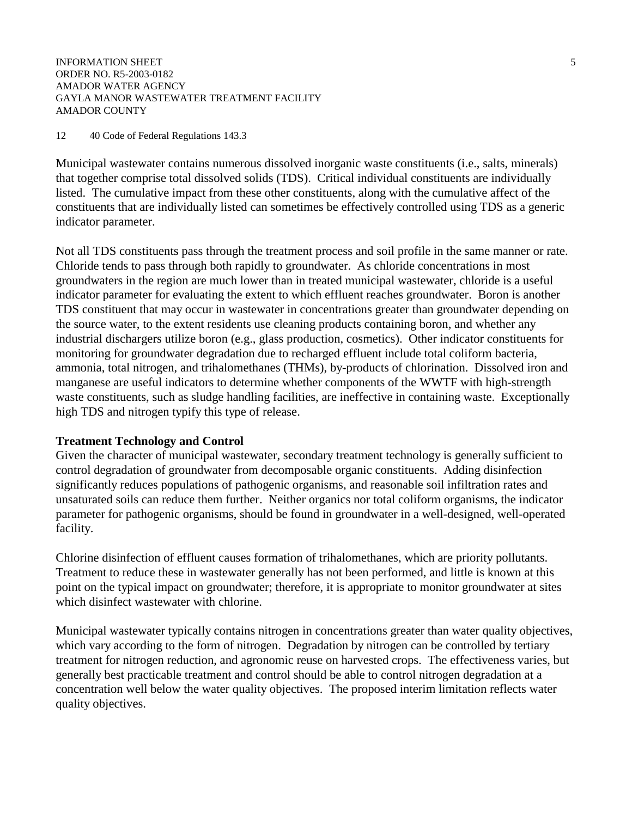INFORMATION SHEET 5 ORDER NO. R5-2003-0182 AMADOR WATER AGENCY GAYLA MANOR WASTEWATER TREATMENT FACILITY AMADOR COUNTY

#### 12 40 Code of Federal Regulations 143.3

Municipal wastewater contains numerous dissolved inorganic waste constituents (i.e., salts, minerals) that together comprise total dissolved solids (TDS). Critical individual constituents are individually listed. The cumulative impact from these other constituents, along with the cumulative affect of the constituents that are individually listed can sometimes be effectively controlled using TDS as a generic indicator parameter.

Not all TDS constituents pass through the treatment process and soil profile in the same manner or rate. Chloride tends to pass through both rapidly to groundwater. As chloride concentrations in most groundwaters in the region are much lower than in treated municipal wastewater, chloride is a useful indicator parameter for evaluating the extent to which effluent reaches groundwater. Boron is another TDS constituent that may occur in wastewater in concentrations greater than groundwater depending on the source water, to the extent residents use cleaning products containing boron, and whether any industrial dischargers utilize boron (e.g., glass production, cosmetics). Other indicator constituents for monitoring for groundwater degradation due to recharged effluent include total coliform bacteria, ammonia, total nitrogen, and trihalomethanes (THMs), by-products of chlorination. Dissolved iron and manganese are useful indicators to determine whether components of the WWTF with high-strength waste constituents, such as sludge handling facilities, are ineffective in containing waste. Exceptionally high TDS and nitrogen typify this type of release.

#### **Treatment Technology and Control**

Given the character of municipal wastewater, secondary treatment technology is generally sufficient to control degradation of groundwater from decomposable organic constituents. Adding disinfection significantly reduces populations of pathogenic organisms, and reasonable soil infiltration rates and unsaturated soils can reduce them further. Neither organics nor total coliform organisms, the indicator parameter for pathogenic organisms, should be found in groundwater in a well-designed, well-operated facility.

Chlorine disinfection of effluent causes formation of trihalomethanes, which are priority pollutants. Treatment to reduce these in wastewater generally has not been performed, and little is known at this point on the typical impact on groundwater; therefore, it is appropriate to monitor groundwater at sites which disinfect wastewater with chlorine.

Municipal wastewater typically contains nitrogen in concentrations greater than water quality objectives, which vary according to the form of nitrogen. Degradation by nitrogen can be controlled by tertiary treatment for nitrogen reduction, and agronomic reuse on harvested crops. The effectiveness varies, but generally best practicable treatment and control should be able to control nitrogen degradation at a concentration well below the water quality objectives. The proposed interim limitation reflects water quality objectives.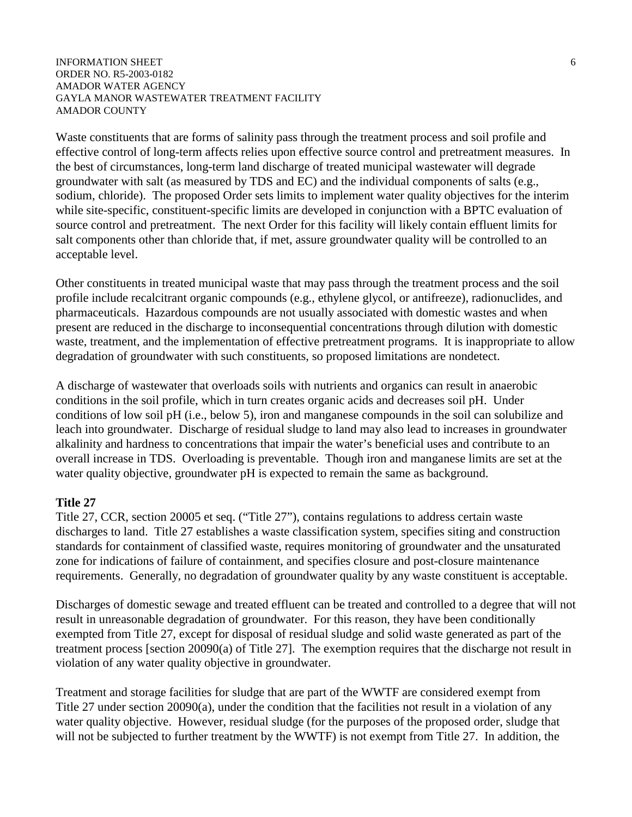#### INFORMATION SHEET 6 ORDER NO. R5-2003-0182 AMADOR WATER AGENCY GAYLA MANOR WASTEWATER TREATMENT FACILITY AMADOR COUNTY

Waste constituents that are forms of salinity pass through the treatment process and soil profile and effective control of long-term affects relies upon effective source control and pretreatment measures. In the best of circumstances, long-term land discharge of treated municipal wastewater will degrade groundwater with salt (as measured by TDS and EC) and the individual components of salts (e.g., sodium, chloride). The proposed Order sets limits to implement water quality objectives for the interim while site-specific, constituent-specific limits are developed in conjunction with a BPTC evaluation of source control and pretreatment. The next Order for this facility will likely contain effluent limits for salt components other than chloride that, if met, assure groundwater quality will be controlled to an acceptable level.

Other constituents in treated municipal waste that may pass through the treatment process and the soil profile include recalcitrant organic compounds (e.g., ethylene glycol, or antifreeze), radionuclides, and pharmaceuticals. Hazardous compounds are not usually associated with domestic wastes and when present are reduced in the discharge to inconsequential concentrations through dilution with domestic waste, treatment, and the implementation of effective pretreatment programs. It is inappropriate to allow degradation of groundwater with such constituents, so proposed limitations are nondetect.

A discharge of wastewater that overloads soils with nutrients and organics can result in anaerobic conditions in the soil profile, which in turn creates organic acids and decreases soil pH. Under conditions of low soil pH (i.e., below 5), iron and manganese compounds in the soil can solubilize and leach into groundwater. Discharge of residual sludge to land may also lead to increases in groundwater alkalinity and hardness to concentrations that impair the water's beneficial uses and contribute to an overall increase in TDS. Overloading is preventable. Though iron and manganese limits are set at the water quality objective, groundwater pH is expected to remain the same as background.

## **Title 27**

Title 27, CCR, section 20005 et seq. ("Title 27"), contains regulations to address certain waste discharges to land. Title 27 establishes a waste classification system, specifies siting and construction standards for containment of classified waste, requires monitoring of groundwater and the unsaturated zone for indications of failure of containment, and specifies closure and post-closure maintenance requirements. Generally, no degradation of groundwater quality by any waste constituent is acceptable.

Discharges of domestic sewage and treated effluent can be treated and controlled to a degree that will not result in unreasonable degradation of groundwater. For this reason, they have been conditionally exempted from Title 27, except for disposal of residual sludge and solid waste generated as part of the treatment process [section 20090(a) of Title 27]. The exemption requires that the discharge not result in violation of any water quality objective in groundwater.

Treatment and storage facilities for sludge that are part of the WWTF are considered exempt from Title 27 under section 20090(a), under the condition that the facilities not result in a violation of any water quality objective. However, residual sludge (for the purposes of the proposed order, sludge that will not be subjected to further treatment by the WWTF) is not exempt from Title 27. In addition, the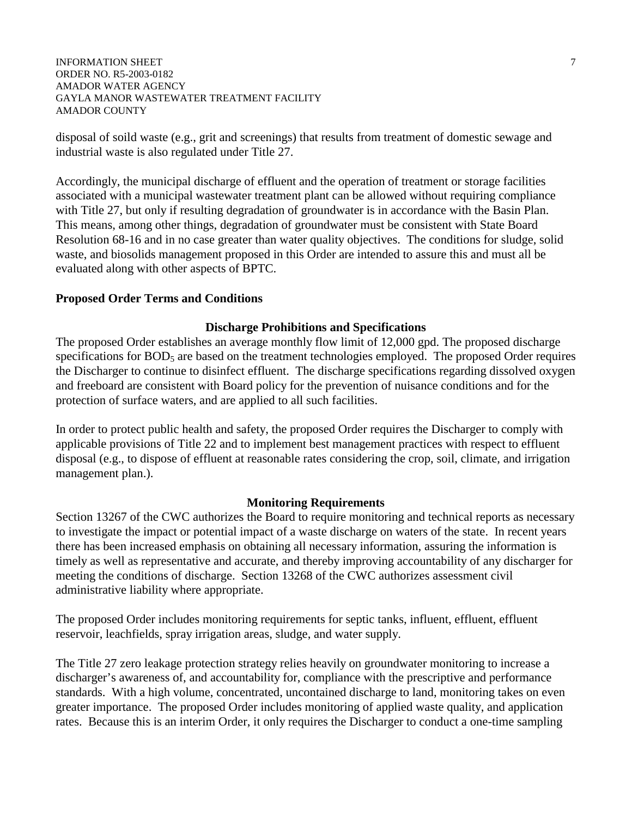INFORMATION SHEET 7 ORDER NO. R5-2003-0182 AMADOR WATER AGENCY GAYLA MANOR WASTEWATER TREATMENT FACILITY AMADOR COUNTY

disposal of soild waste (e.g., grit and screenings) that results from treatment of domestic sewage and industrial waste is also regulated under Title 27.

Accordingly, the municipal discharge of effluent and the operation of treatment or storage facilities associated with a municipal wastewater treatment plant can be allowed without requiring compliance with Title 27, but only if resulting degradation of groundwater is in accordance with the Basin Plan. This means, among other things, degradation of groundwater must be consistent with State Board Resolution 68-16 and in no case greater than water quality objectives. The conditions for sludge, solid waste, and biosolids management proposed in this Order are intended to assure this and must all be evaluated along with other aspects of BPTC.

### **Proposed Order Terms and Conditions**

### **Discharge Prohibitions and Specifications**

The proposed Order establishes an average monthly flow limit of 12,000 gpd. The proposed discharge specifications for BOD<sub>5</sub> are based on the treatment technologies employed. The proposed Order requires the Discharger to continue to disinfect effluent. The discharge specifications regarding dissolved oxygen and freeboard are consistent with Board policy for the prevention of nuisance conditions and for the protection of surface waters, and are applied to all such facilities.

In order to protect public health and safety, the proposed Order requires the Discharger to comply with applicable provisions of Title 22 and to implement best management practices with respect to effluent disposal (e.g., to dispose of effluent at reasonable rates considering the crop, soil, climate, and irrigation management plan.).

### **Monitoring Requirements**

Section 13267 of the CWC authorizes the Board to require monitoring and technical reports as necessary to investigate the impact or potential impact of a waste discharge on waters of the state. In recent years there has been increased emphasis on obtaining all necessary information, assuring the information is timely as well as representative and accurate, and thereby improving accountability of any discharger for meeting the conditions of discharge. Section 13268 of the CWC authorizes assessment civil administrative liability where appropriate.

The proposed Order includes monitoring requirements for septic tanks, influent, effluent, effluent reservoir, leachfields, spray irrigation areas, sludge, and water supply.

The Title 27 zero leakage protection strategy relies heavily on groundwater monitoring to increase a discharger's awareness of, and accountability for, compliance with the prescriptive and performance standards. With a high volume, concentrated, uncontained discharge to land, monitoring takes on even greater importance. The proposed Order includes monitoring of applied waste quality, and application rates. Because this is an interim Order, it only requires the Discharger to conduct a one-time sampling